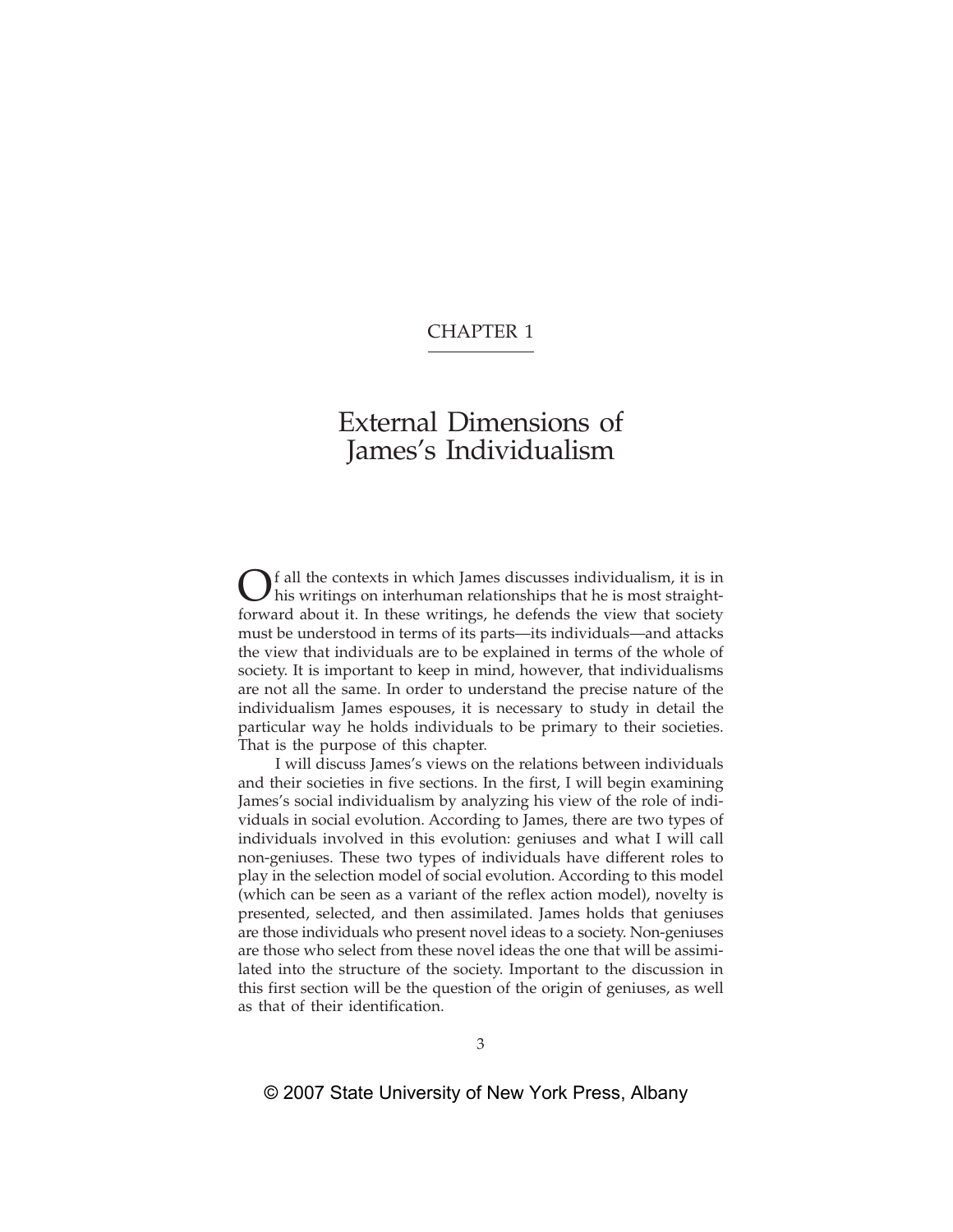## CHAPTER 1

# External Dimensions of James's Individualism

 $\bigodot$  f all the contexts in which James discusses individualism, it is in his writings on interhuman relationships that he is most straight-<br>forward about it. In these varitings, he defends the view that socially forward about it. In these writings, he defends the view that society must be understood in terms of its parts—its individuals—and attacks the view that individuals are to be explained in terms of the whole of society. It is important to keep in mind, however, that individualisms are not all the same. In order to understand the precise nature of the individualism James espouses, it is necessary to study in detail the particular way he holds individuals to be primary to their societies. That is the purpose of this chapter.

I will discuss James's views on the relations between individuals and their societies in five sections. In the first, I will begin examining James's social individualism by analyzing his view of the role of individuals in social evolution. According to James, there are two types of individuals involved in this evolution: geniuses and what I will call non-geniuses. These two types of individuals have different roles to play in the selection model of social evolution. According to this model (which can be seen as a variant of the reflex action model), novelty is presented, selected, and then assimilated. James holds that geniuses are those individuals who present novel ideas to a society. Non-geniuses are those who select from these novel ideas the one that will be assimilated into the structure of the society. Important to the discussion in this first section will be the question of the origin of geniuses, as well as that of their identification.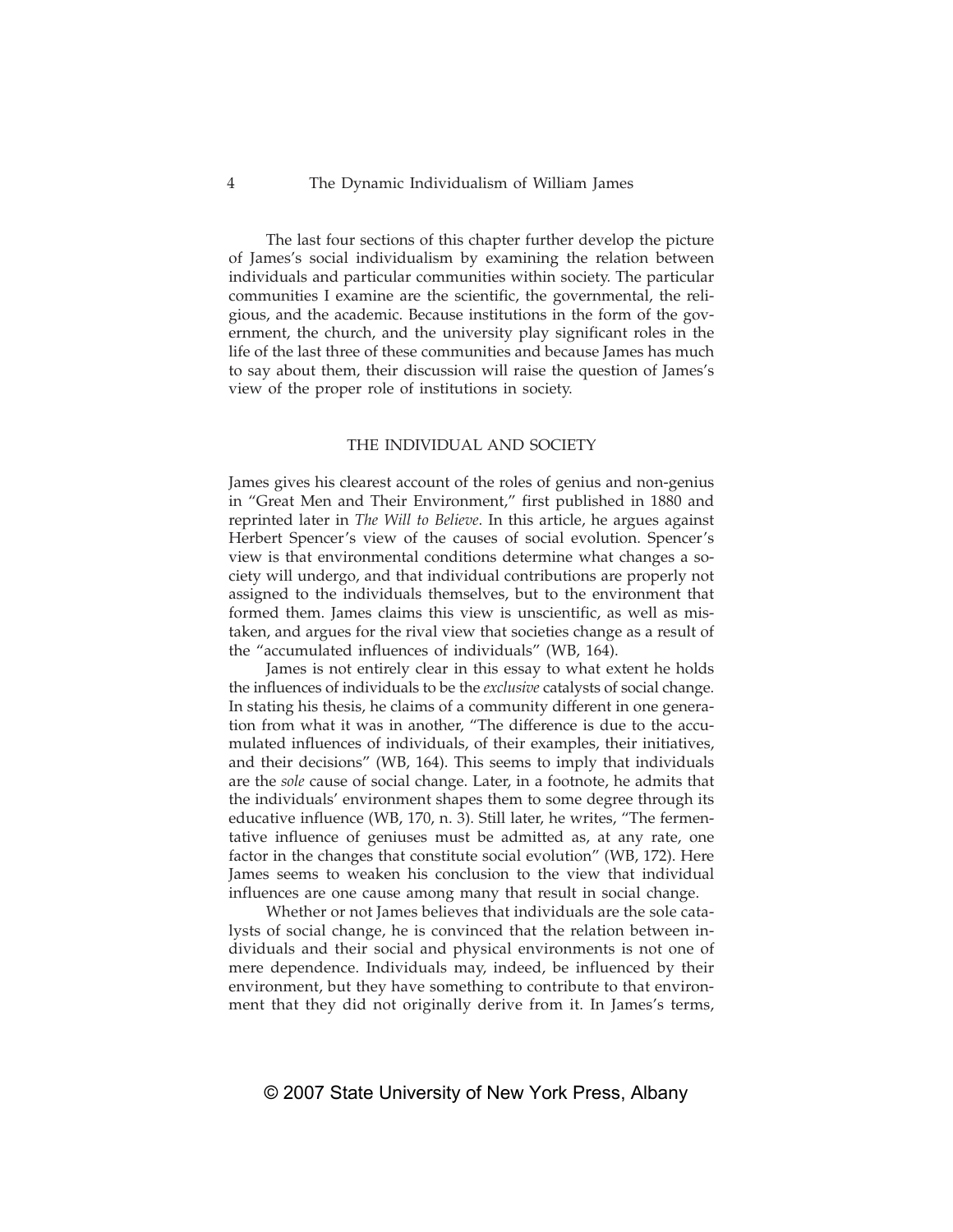#### 4 The Dynamic Individualism of William James

The last four sections of this chapter further develop the picture of James's social individualism by examining the relation between individuals and particular communities within society. The particular communities I examine are the scientific, the governmental, the religious, and the academic. Because institutions in the form of the government, the church, and the university play significant roles in the life of the last three of these communities and because James has much to say about them, their discussion will raise the question of James's view of the proper role of institutions in society.

#### THE INDIVIDUAL AND SOCIETY

James gives his clearest account of the roles of genius and non-genius in "Great Men and Their Environment," first published in 1880 and reprinted later in *The Will to Believe*. In this article, he argues against Herbert Spencer's view of the causes of social evolution. Spencer's view is that environmental conditions determine what changes a society will undergo, and that individual contributions are properly not assigned to the individuals themselves, but to the environment that formed them. James claims this view is unscientific, as well as mistaken, and argues for the rival view that societies change as a result of the "accumulated influences of individuals" (WB, 164).

James is not entirely clear in this essay to what extent he holds the influences of individuals to be the *exclusive* catalysts of social change. In stating his thesis, he claims of a community different in one generation from what it was in another, "The difference is due to the accumulated influences of individuals, of their examples, their initiatives, and their decisions" (WB, 164). This seems to imply that individuals are the *sole* cause of social change. Later, in a footnote, he admits that the individuals' environment shapes them to some degree through its educative influence (WB, 170, n. 3). Still later, he writes, "The fermentative influence of geniuses must be admitted as, at any rate, one factor in the changes that constitute social evolution" (WB, 172). Here James seems to weaken his conclusion to the view that individual influences are one cause among many that result in social change.

Whether or not James believes that individuals are the sole catalysts of social change, he is convinced that the relation between individuals and their social and physical environments is not one of mere dependence. Individuals may, indeed, be influenced by their environment, but they have something to contribute to that environment that they did not originally derive from it. In James's terms,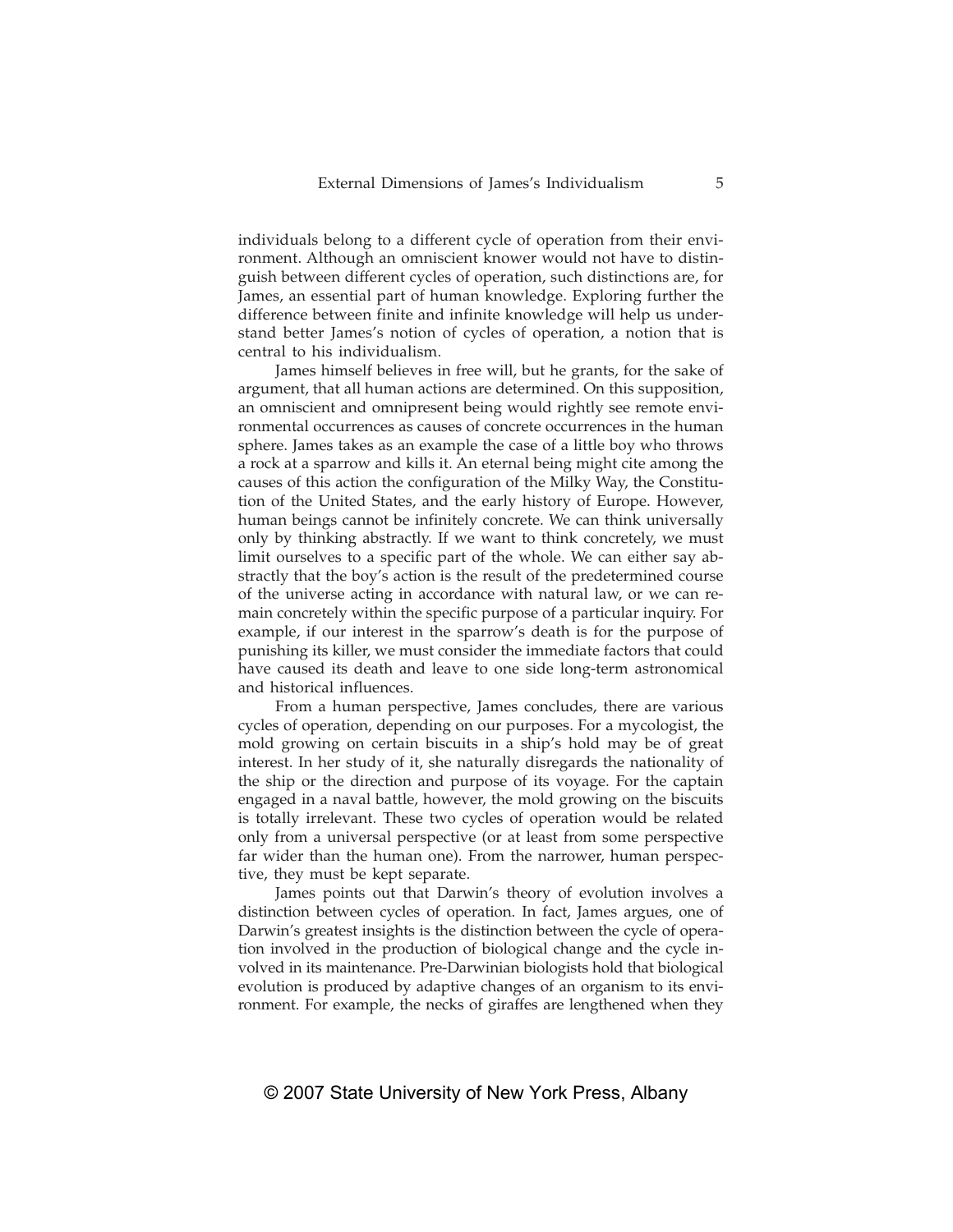individuals belong to a different cycle of operation from their environment. Although an omniscient knower would not have to distinguish between different cycles of operation, such distinctions are, for James, an essential part of human knowledge. Exploring further the difference between finite and infinite knowledge will help us understand better James's notion of cycles of operation, a notion that is central to his individualism.

James himself believes in free will, but he grants, for the sake of argument, that all human actions are determined. On this supposition, an omniscient and omnipresent being would rightly see remote environmental occurrences as causes of concrete occurrences in the human sphere. James takes as an example the case of a little boy who throws a rock at a sparrow and kills it. An eternal being might cite among the causes of this action the configuration of the Milky Way, the Constitution of the United States, and the early history of Europe. However, human beings cannot be infinitely concrete. We can think universally only by thinking abstractly. If we want to think concretely, we must limit ourselves to a specific part of the whole. We can either say abstractly that the boy's action is the result of the predetermined course of the universe acting in accordance with natural law, or we can remain concretely within the specific purpose of a particular inquiry. For example, if our interest in the sparrow's death is for the purpose of punishing its killer, we must consider the immediate factors that could have caused its death and leave to one side long-term astronomical and historical influences.

From a human perspective, James concludes, there are various cycles of operation, depending on our purposes. For a mycologist, the mold growing on certain biscuits in a ship's hold may be of great interest. In her study of it, she naturally disregards the nationality of the ship or the direction and purpose of its voyage. For the captain engaged in a naval battle, however, the mold growing on the biscuits is totally irrelevant. These two cycles of operation would be related only from a universal perspective (or at least from some perspective far wider than the human one). From the narrower, human perspective, they must be kept separate.

James points out that Darwin's theory of evolution involves a distinction between cycles of operation. In fact, James argues, one of Darwin's greatest insights is the distinction between the cycle of operation involved in the production of biological change and the cycle involved in its maintenance. Pre-Darwinian biologists hold that biological evolution is produced by adaptive changes of an organism to its environment. For example, the necks of giraffes are lengthened when they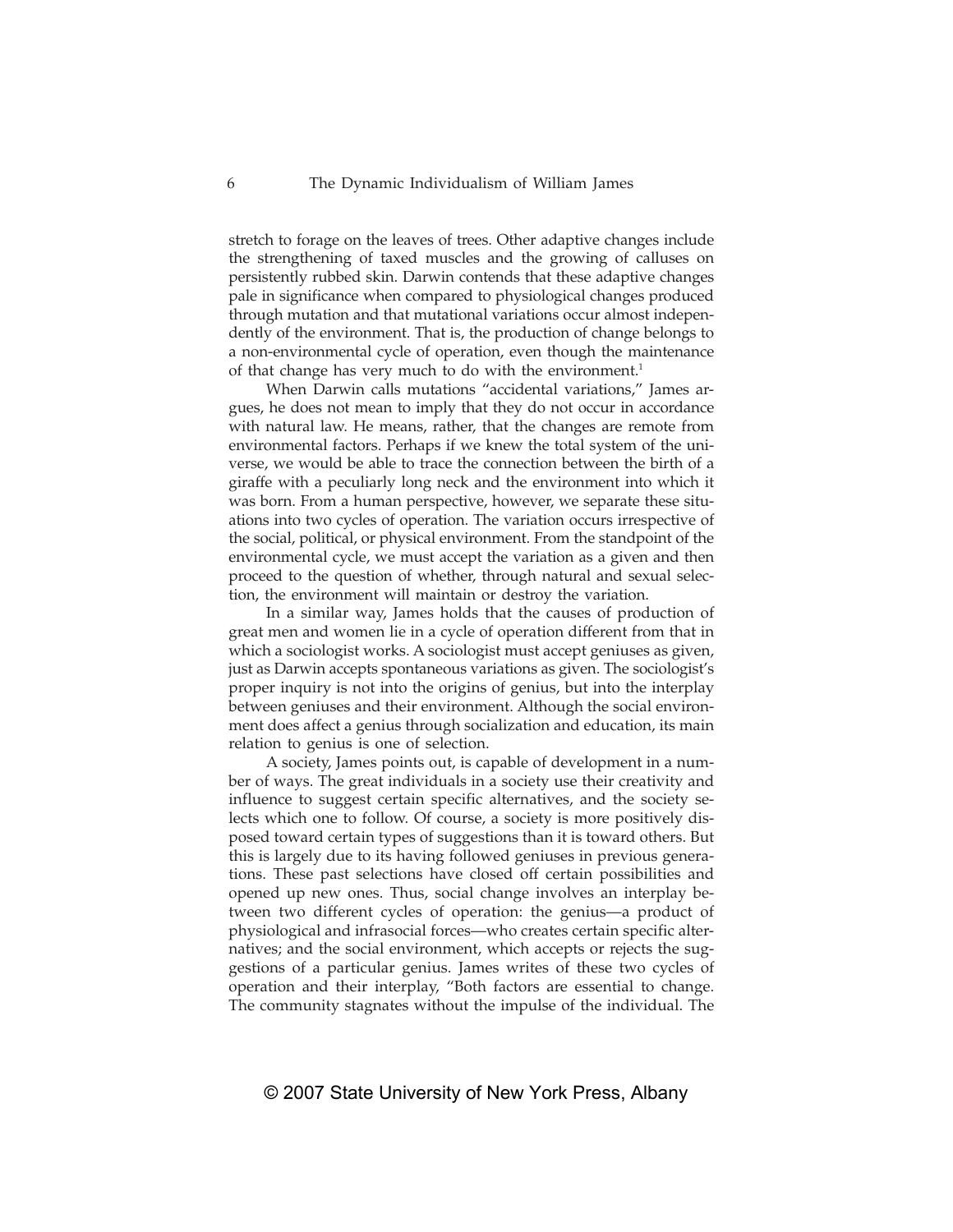stretch to forage on the leaves of trees. Other adaptive changes include the strengthening of taxed muscles and the growing of calluses on persistently rubbed skin. Darwin contends that these adaptive changes pale in significance when compared to physiological changes produced through mutation and that mutational variations occur almost independently of the environment. That is, the production of change belongs to a non-environmental cycle of operation, even though the maintenance of that change has very much to do with the environment.<sup>1</sup>

When Darwin calls mutations "accidental variations," James argues, he does not mean to imply that they do not occur in accordance with natural law. He means, rather, that the changes are remote from environmental factors. Perhaps if we knew the total system of the universe, we would be able to trace the connection between the birth of a giraffe with a peculiarly long neck and the environment into which it was born. From a human perspective, however, we separate these situations into two cycles of operation. The variation occurs irrespective of the social, political, or physical environment. From the standpoint of the environmental cycle, we must accept the variation as a given and then proceed to the question of whether, through natural and sexual selection, the environment will maintain or destroy the variation.

In a similar way, James holds that the causes of production of great men and women lie in a cycle of operation different from that in which a sociologist works. A sociologist must accept geniuses as given, just as Darwin accepts spontaneous variations as given. The sociologist's proper inquiry is not into the origins of genius, but into the interplay between geniuses and their environment. Although the social environment does affect a genius through socialization and education, its main relation to genius is one of selection.

A society, James points out, is capable of development in a number of ways. The great individuals in a society use their creativity and influence to suggest certain specific alternatives, and the society selects which one to follow. Of course, a society is more positively disposed toward certain types of suggestions than it is toward others. But this is largely due to its having followed geniuses in previous generations. These past selections have closed off certain possibilities and opened up new ones. Thus, social change involves an interplay between two different cycles of operation: the genius—a product of physiological and infrasocial forces—who creates certain specific alternatives; and the social environment, which accepts or rejects the suggestions of a particular genius. James writes of these two cycles of operation and their interplay, "Both factors are essential to change. The community stagnates without the impulse of the individual. The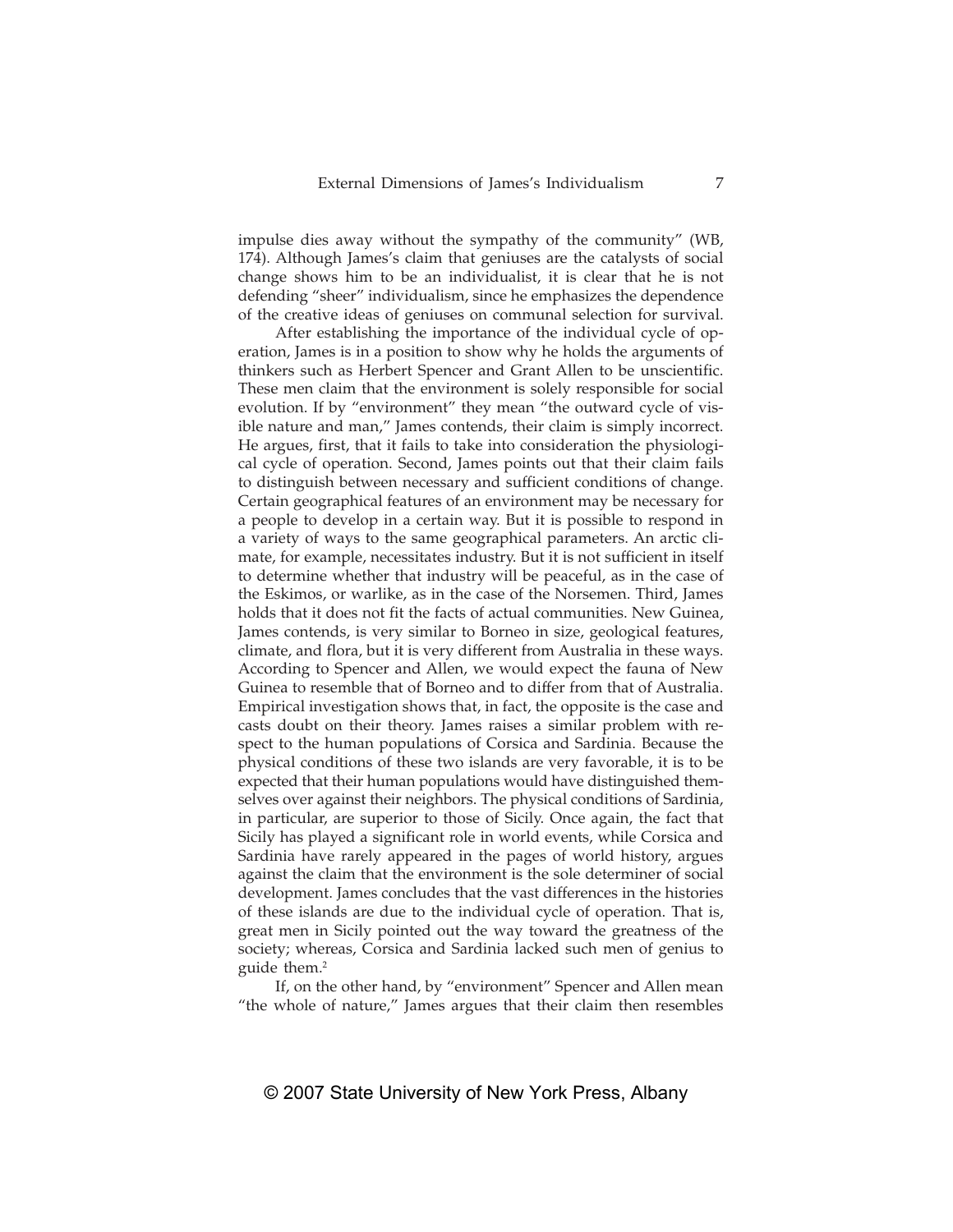impulse dies away without the sympathy of the community" (WB, 174). Although James's claim that geniuses are the catalysts of social change shows him to be an individualist, it is clear that he is not defending "sheer" individualism, since he emphasizes the dependence of the creative ideas of geniuses on communal selection for survival.

After establishing the importance of the individual cycle of operation, James is in a position to show why he holds the arguments of thinkers such as Herbert Spencer and Grant Allen to be unscientific. These men claim that the environment is solely responsible for social evolution. If by "environment" they mean "the outward cycle of visible nature and man," James contends, their claim is simply incorrect. He argues, first, that it fails to take into consideration the physiological cycle of operation. Second, James points out that their claim fails to distinguish between necessary and sufficient conditions of change. Certain geographical features of an environment may be necessary for a people to develop in a certain way. But it is possible to respond in a variety of ways to the same geographical parameters. An arctic climate, for example, necessitates industry. But it is not sufficient in itself to determine whether that industry will be peaceful, as in the case of the Eskimos, or warlike, as in the case of the Norsemen. Third, James holds that it does not fit the facts of actual communities. New Guinea, James contends, is very similar to Borneo in size, geological features, climate, and flora, but it is very different from Australia in these ways. According to Spencer and Allen, we would expect the fauna of New Guinea to resemble that of Borneo and to differ from that of Australia. Empirical investigation shows that, in fact, the opposite is the case and casts doubt on their theory. James raises a similar problem with respect to the human populations of Corsica and Sardinia. Because the physical conditions of these two islands are very favorable, it is to be expected that their human populations would have distinguished themselves over against their neighbors. The physical conditions of Sardinia, in particular, are superior to those of Sicily. Once again, the fact that Sicily has played a significant role in world events, while Corsica and Sardinia have rarely appeared in the pages of world history, argues against the claim that the environment is the sole determiner of social development. James concludes that the vast differences in the histories of these islands are due to the individual cycle of operation. That is, great men in Sicily pointed out the way toward the greatness of the society; whereas, Corsica and Sardinia lacked such men of genius to guide them.<sup>2</sup>

If, on the other hand, by "environment" Spencer and Allen mean "the whole of nature," James argues that their claim then resembles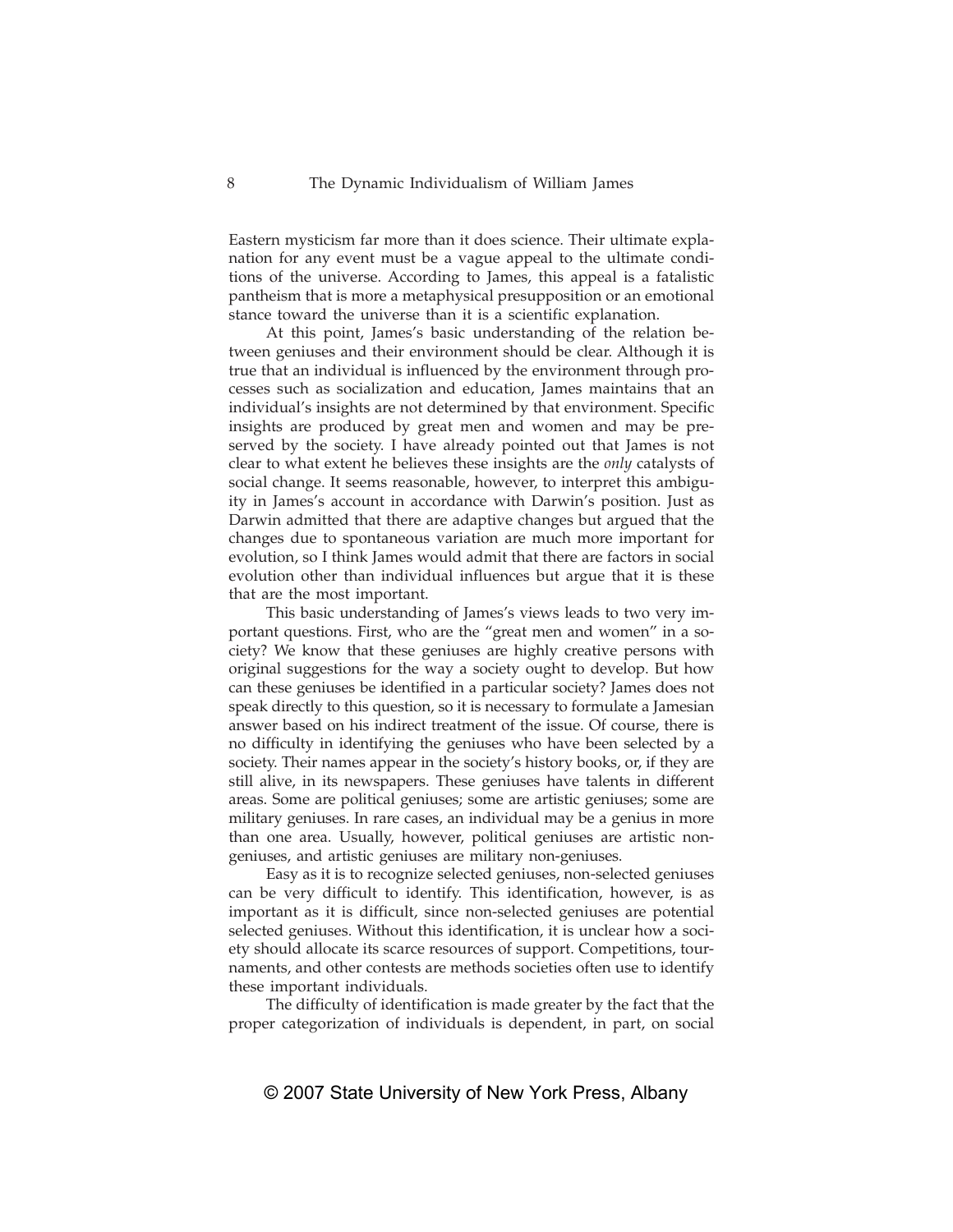Eastern mysticism far more than it does science. Their ultimate explanation for any event must be a vague appeal to the ultimate conditions of the universe. According to James, this appeal is a fatalistic pantheism that is more a metaphysical presupposition or an emotional stance toward the universe than it is a scientific explanation.

At this point, James's basic understanding of the relation between geniuses and their environment should be clear. Although it is true that an individual is influenced by the environment through processes such as socialization and education, James maintains that an individual's insights are not determined by that environment. Specific insights are produced by great men and women and may be preserved by the society. I have already pointed out that James is not clear to what extent he believes these insights are the *only* catalysts of social change. It seems reasonable, however, to interpret this ambiguity in James's account in accordance with Darwin's position. Just as Darwin admitted that there are adaptive changes but argued that the changes due to spontaneous variation are much more important for evolution, so I think James would admit that there are factors in social evolution other than individual influences but argue that it is these that are the most important.

This basic understanding of James's views leads to two very important questions. First, who are the "great men and women" in a society? We know that these geniuses are highly creative persons with original suggestions for the way a society ought to develop. But how can these geniuses be identified in a particular society? James does not speak directly to this question, so it is necessary to formulate a Jamesian answer based on his indirect treatment of the issue. Of course, there is no difficulty in identifying the geniuses who have been selected by a society. Their names appear in the society's history books, or, if they are still alive, in its newspapers. These geniuses have talents in different areas. Some are political geniuses; some are artistic geniuses; some are military geniuses. In rare cases, an individual may be a genius in more than one area. Usually, however, political geniuses are artistic nongeniuses, and artistic geniuses are military non-geniuses.

Easy as it is to recognize selected geniuses, non-selected geniuses can be very difficult to identify. This identification, however, is as important as it is difficult, since non-selected geniuses are potential selected geniuses. Without this identification, it is unclear how a society should allocate its scarce resources of support. Competitions, tournaments, and other contests are methods societies often use to identify these important individuals.

The difficulty of identification is made greater by the fact that the proper categorization of individuals is dependent, in part, on social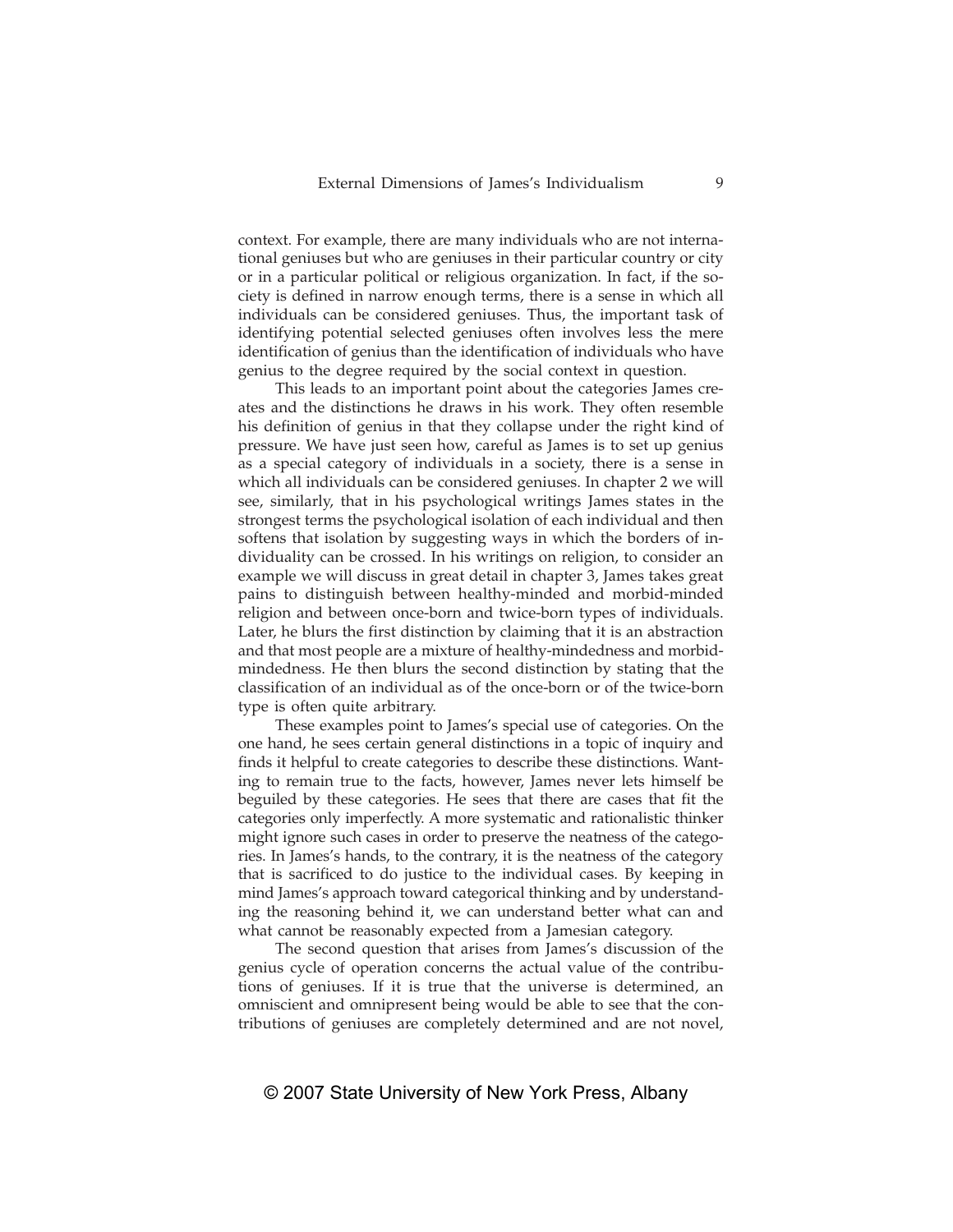context. For example, there are many individuals who are not international geniuses but who are geniuses in their particular country or city or in a particular political or religious organization. In fact, if the society is defined in narrow enough terms, there is a sense in which all individuals can be considered geniuses. Thus, the important task of identifying potential selected geniuses often involves less the mere identification of genius than the identification of individuals who have genius to the degree required by the social context in question.

This leads to an important point about the categories James creates and the distinctions he draws in his work. They often resemble his definition of genius in that they collapse under the right kind of pressure. We have just seen how, careful as James is to set up genius as a special category of individuals in a society, there is a sense in which all individuals can be considered geniuses. In chapter 2 we will see, similarly, that in his psychological writings James states in the strongest terms the psychological isolation of each individual and then softens that isolation by suggesting ways in which the borders of individuality can be crossed. In his writings on religion, to consider an example we will discuss in great detail in chapter 3, James takes great pains to distinguish between healthy-minded and morbid-minded religion and between once-born and twice-born types of individuals. Later, he blurs the first distinction by claiming that it is an abstraction and that most people are a mixture of healthy-mindedness and morbidmindedness. He then blurs the second distinction by stating that the classification of an individual as of the once-born or of the twice-born type is often quite arbitrary.

These examples point to James's special use of categories. On the one hand, he sees certain general distinctions in a topic of inquiry and finds it helpful to create categories to describe these distinctions. Wanting to remain true to the facts, however, James never lets himself be beguiled by these categories. He sees that there are cases that fit the categories only imperfectly. A more systematic and rationalistic thinker might ignore such cases in order to preserve the neatness of the categories. In James's hands, to the contrary, it is the neatness of the category that is sacrificed to do justice to the individual cases. By keeping in mind James's approach toward categorical thinking and by understanding the reasoning behind it, we can understand better what can and what cannot be reasonably expected from a Jamesian category.

The second question that arises from James's discussion of the genius cycle of operation concerns the actual value of the contributions of geniuses. If it is true that the universe is determined, an omniscient and omnipresent being would be able to see that the contributions of geniuses are completely determined and are not novel,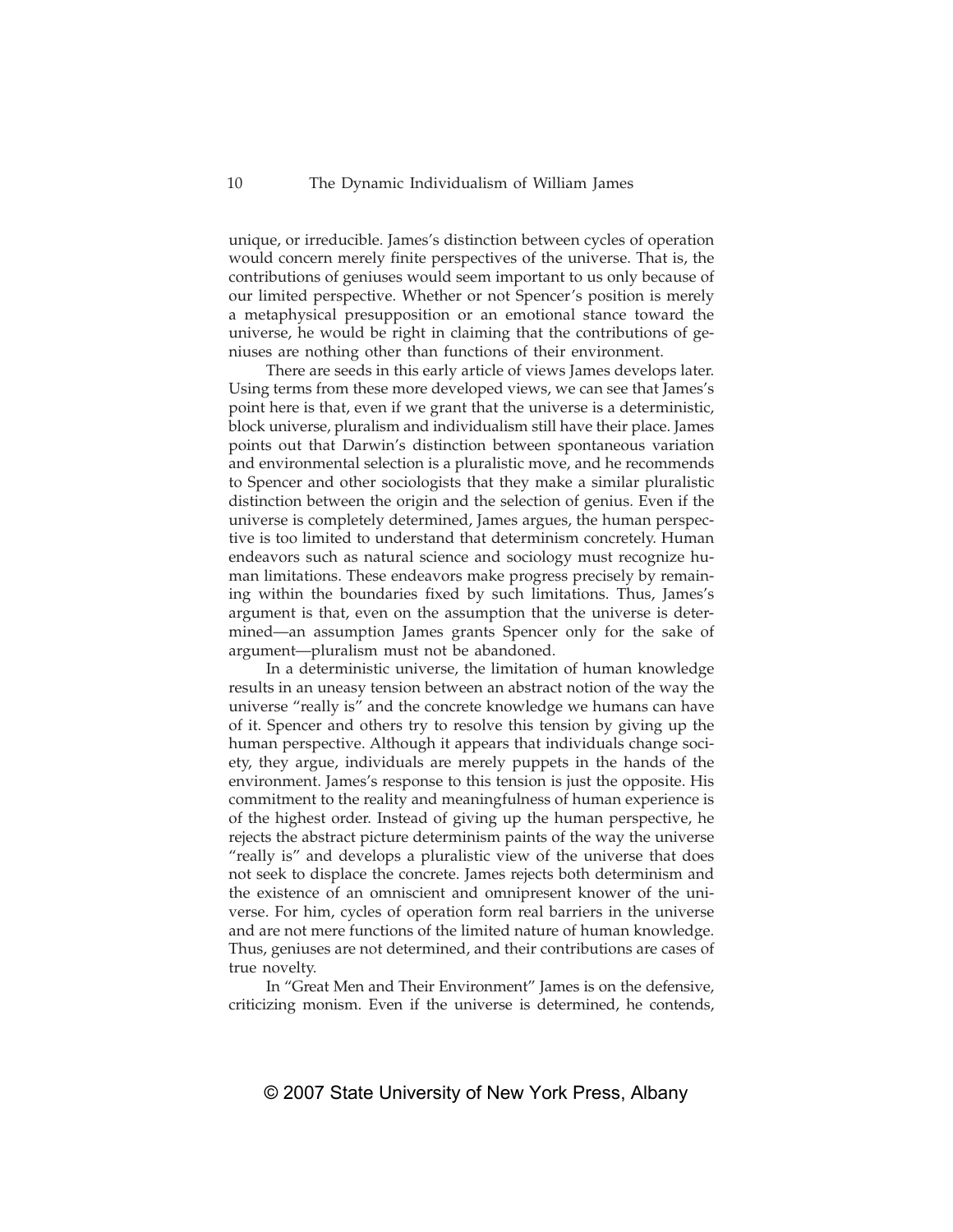unique, or irreducible. James's distinction between cycles of operation would concern merely finite perspectives of the universe. That is, the contributions of geniuses would seem important to us only because of our limited perspective. Whether or not Spencer's position is merely a metaphysical presupposition or an emotional stance toward the universe, he would be right in claiming that the contributions of geniuses are nothing other than functions of their environment.

There are seeds in this early article of views James develops later. Using terms from these more developed views, we can see that James's point here is that, even if we grant that the universe is a deterministic, block universe, pluralism and individualism still have their place. James points out that Darwin's distinction between spontaneous variation and environmental selection is a pluralistic move, and he recommends to Spencer and other sociologists that they make a similar pluralistic distinction between the origin and the selection of genius. Even if the universe is completely determined, James argues, the human perspective is too limited to understand that determinism concretely. Human endeavors such as natural science and sociology must recognize human limitations. These endeavors make progress precisely by remaining within the boundaries fixed by such limitations. Thus, James's argument is that, even on the assumption that the universe is determined—an assumption James grants Spencer only for the sake of argument—pluralism must not be abandoned.

In a deterministic universe, the limitation of human knowledge results in an uneasy tension between an abstract notion of the way the universe "really is" and the concrete knowledge we humans can have of it. Spencer and others try to resolve this tension by giving up the human perspective. Although it appears that individuals change society, they argue, individuals are merely puppets in the hands of the environment. James's response to this tension is just the opposite. His commitment to the reality and meaningfulness of human experience is of the highest order. Instead of giving up the human perspective, he rejects the abstract picture determinism paints of the way the universe "really is" and develops a pluralistic view of the universe that does not seek to displace the concrete. James rejects both determinism and the existence of an omniscient and omnipresent knower of the universe. For him, cycles of operation form real barriers in the universe and are not mere functions of the limited nature of human knowledge. Thus, geniuses are not determined, and their contributions are cases of true novelty.

In "Great Men and Their Environment" James is on the defensive, criticizing monism. Even if the universe is determined, he contends,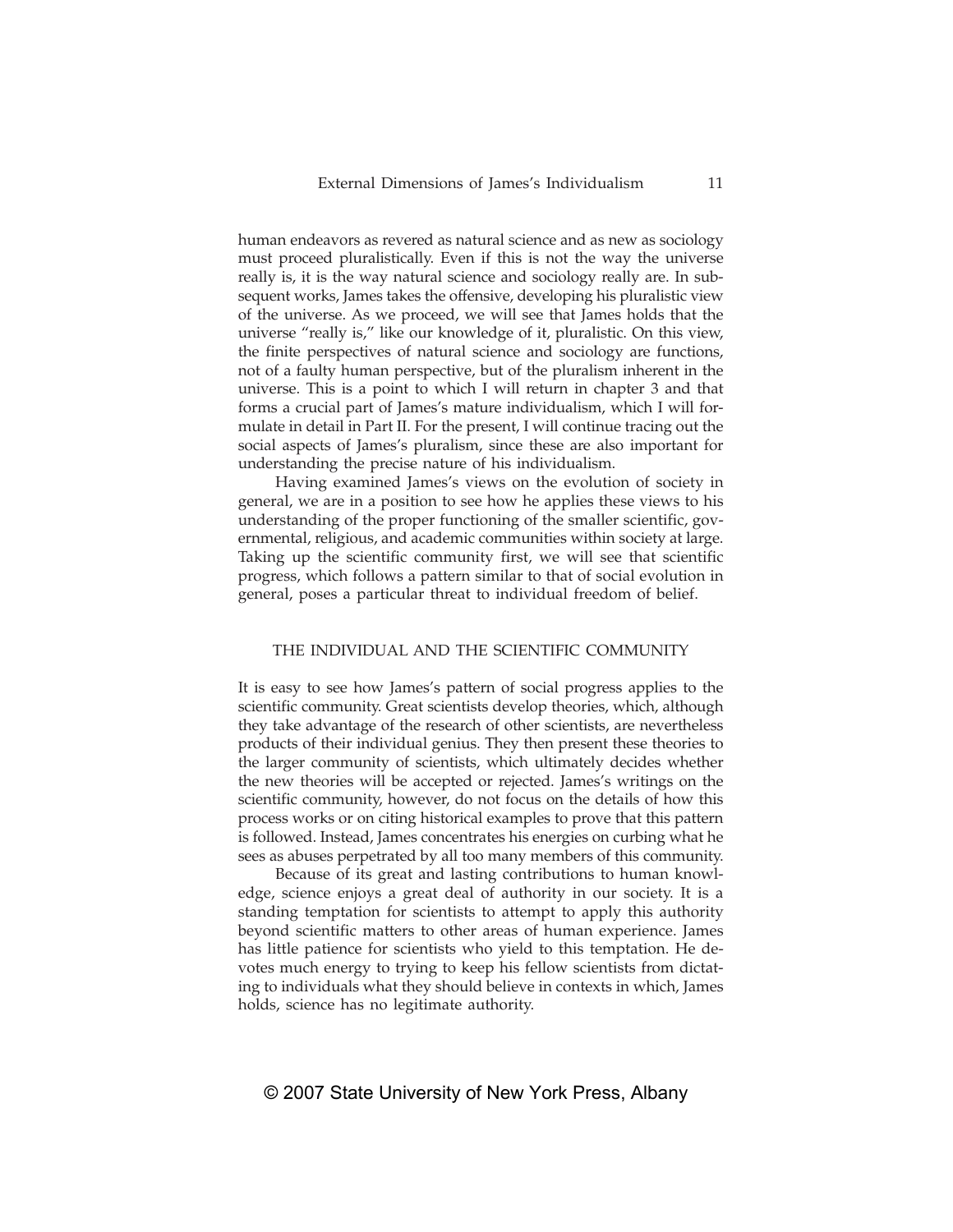human endeavors as revered as natural science and as new as sociology must proceed pluralistically. Even if this is not the way the universe really is, it is the way natural science and sociology really are. In subsequent works, James takes the offensive, developing his pluralistic view of the universe. As we proceed, we will see that James holds that the universe "really is," like our knowledge of it, pluralistic. On this view, the finite perspectives of natural science and sociology are functions, not of a faulty human perspective, but of the pluralism inherent in the universe. This is a point to which I will return in chapter 3 and that forms a crucial part of James's mature individualism, which I will formulate in detail in Part II. For the present, I will continue tracing out the social aspects of James's pluralism, since these are also important for understanding the precise nature of his individualism.

Having examined James's views on the evolution of society in general, we are in a position to see how he applies these views to his understanding of the proper functioning of the smaller scientific, governmental, religious, and academic communities within society at large. Taking up the scientific community first, we will see that scientific progress, which follows a pattern similar to that of social evolution in general, poses a particular threat to individual freedom of belief.

### THE INDIVIDUAL AND THE SCIENTIFIC COMMUNITY

It is easy to see how James's pattern of social progress applies to the scientific community. Great scientists develop theories, which, although they take advantage of the research of other scientists, are nevertheless products of their individual genius. They then present these theories to the larger community of scientists, which ultimately decides whether the new theories will be accepted or rejected. James's writings on the scientific community, however, do not focus on the details of how this process works or on citing historical examples to prove that this pattern is followed. Instead, James concentrates his energies on curbing what he sees as abuses perpetrated by all too many members of this community.

Because of its great and lasting contributions to human knowledge, science enjoys a great deal of authority in our society. It is a standing temptation for scientists to attempt to apply this authority beyond scientific matters to other areas of human experience. James has little patience for scientists who yield to this temptation. He devotes much energy to trying to keep his fellow scientists from dictating to individuals what they should believe in contexts in which, James holds, science has no legitimate authority.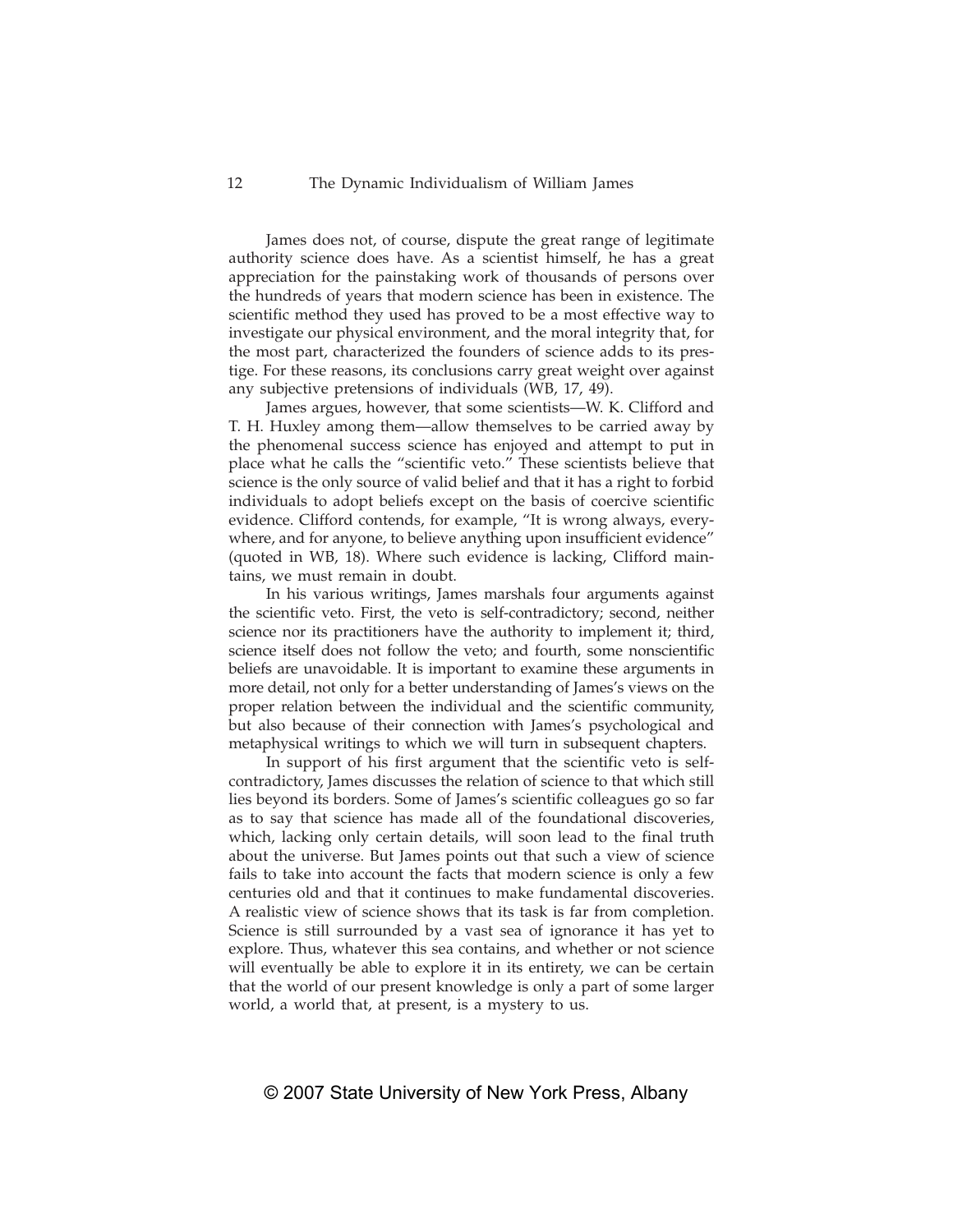James does not, of course, dispute the great range of legitimate authority science does have. As a scientist himself, he has a great appreciation for the painstaking work of thousands of persons over the hundreds of years that modern science has been in existence. The scientific method they used has proved to be a most effective way to investigate our physical environment, and the moral integrity that, for the most part, characterized the founders of science adds to its prestige. For these reasons, its conclusions carry great weight over against any subjective pretensions of individuals (WB, 17, 49).

James argues, however, that some scientists—W. K. Clifford and T. H. Huxley among them—allow themselves to be carried away by the phenomenal success science has enjoyed and attempt to put in place what he calls the "scientific veto." These scientists believe that science is the only source of valid belief and that it has a right to forbid individuals to adopt beliefs except on the basis of coercive scientific evidence. Clifford contends, for example, "It is wrong always, everywhere, and for anyone, to believe anything upon insufficient evidence" (quoted in WB, 18). Where such evidence is lacking, Clifford maintains, we must remain in doubt.

In his various writings, James marshals four arguments against the scientific veto. First, the veto is self-contradictory; second, neither science nor its practitioners have the authority to implement it; third, science itself does not follow the veto; and fourth, some nonscientific beliefs are unavoidable. It is important to examine these arguments in more detail, not only for a better understanding of James's views on the proper relation between the individual and the scientific community, but also because of their connection with James's psychological and metaphysical writings to which we will turn in subsequent chapters.

In support of his first argument that the scientific veto is selfcontradictory, James discusses the relation of science to that which still lies beyond its borders. Some of James's scientific colleagues go so far as to say that science has made all of the foundational discoveries, which, lacking only certain details, will soon lead to the final truth about the universe. But James points out that such a view of science fails to take into account the facts that modern science is only a few centuries old and that it continues to make fundamental discoveries. A realistic view of science shows that its task is far from completion. Science is still surrounded by a vast sea of ignorance it has yet to explore. Thus, whatever this sea contains, and whether or not science will eventually be able to explore it in its entirety, we can be certain that the world of our present knowledge is only a part of some larger world, a world that, at present, is a mystery to us.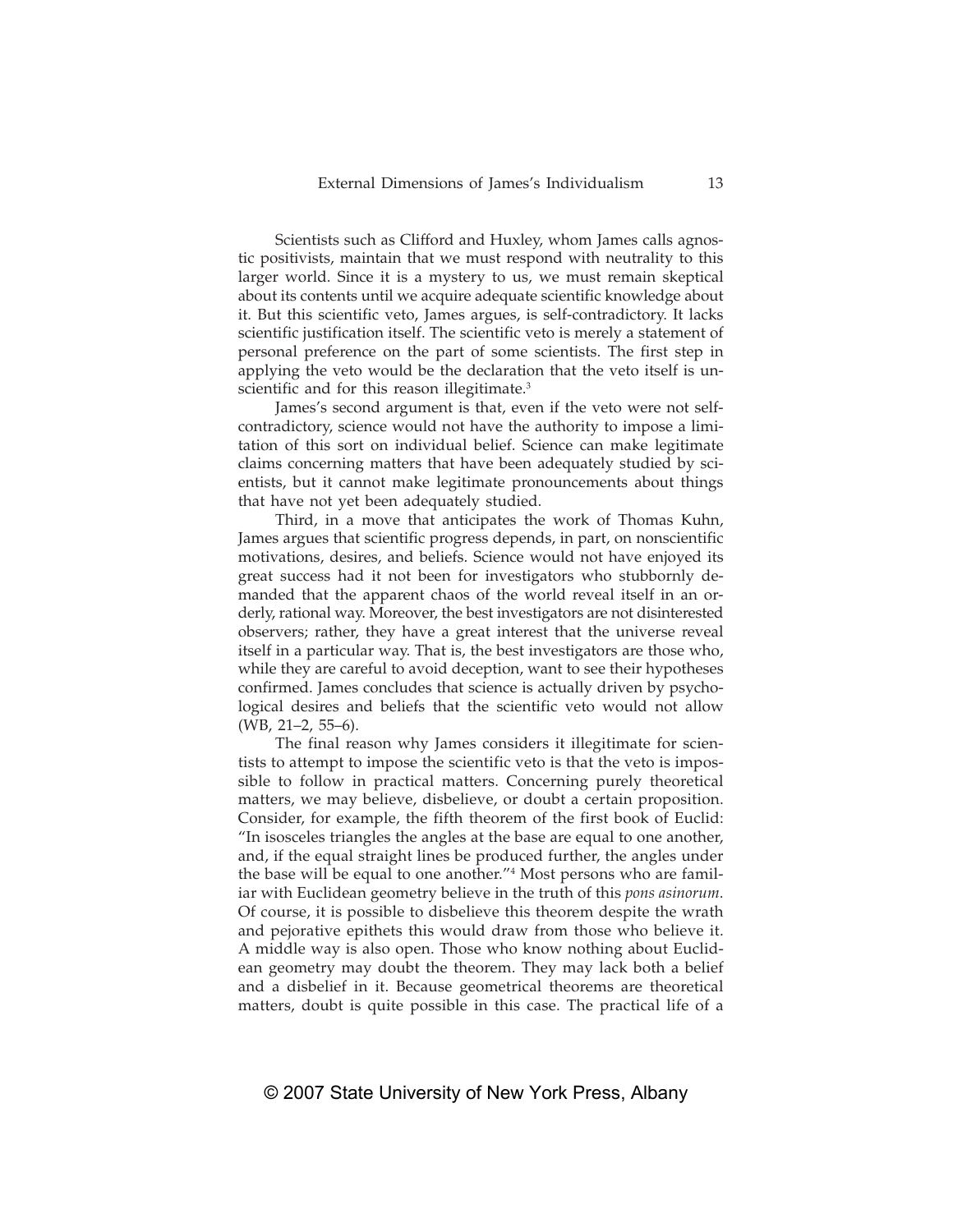Scientists such as Clifford and Huxley, whom James calls agnostic positivists, maintain that we must respond with neutrality to this larger world. Since it is a mystery to us, we must remain skeptical about its contents until we acquire adequate scientific knowledge about it. But this scientific veto, James argues, is self-contradictory. It lacks scientific justification itself. The scientific veto is merely a statement of personal preference on the part of some scientists. The first step in applying the veto would be the declaration that the veto itself is unscientific and for this reason illegitimate.<sup>3</sup>

James's second argument is that, even if the veto were not selfcontradictory, science would not have the authority to impose a limitation of this sort on individual belief. Science can make legitimate claims concerning matters that have been adequately studied by scientists, but it cannot make legitimate pronouncements about things that have not yet been adequately studied.

Third, in a move that anticipates the work of Thomas Kuhn, James argues that scientific progress depends, in part, on nonscientific motivations, desires, and beliefs. Science would not have enjoyed its great success had it not been for investigators who stubbornly demanded that the apparent chaos of the world reveal itself in an orderly, rational way. Moreover, the best investigators are not disinterested observers; rather, they have a great interest that the universe reveal itself in a particular way. That is, the best investigators are those who, while they are careful to avoid deception, want to see their hypotheses confirmed. James concludes that science is actually driven by psychological desires and beliefs that the scientific veto would not allow (WB, 21–2, 55–6).

The final reason why James considers it illegitimate for scientists to attempt to impose the scientific veto is that the veto is impossible to follow in practical matters. Concerning purely theoretical matters, we may believe, disbelieve, or doubt a certain proposition. Consider, for example, the fifth theorem of the first book of Euclid: "In isosceles triangles the angles at the base are equal to one another, and, if the equal straight lines be produced further, the angles under the base will be equal to one another."4 Most persons who are familiar with Euclidean geometry believe in the truth of this *pons asinorum*. Of course, it is possible to disbelieve this theorem despite the wrath and pejorative epithets this would draw from those who believe it. A middle way is also open. Those who know nothing about Euclidean geometry may doubt the theorem. They may lack both a belief and a disbelief in it. Because geometrical theorems are theoretical matters, doubt is quite possible in this case. The practical life of a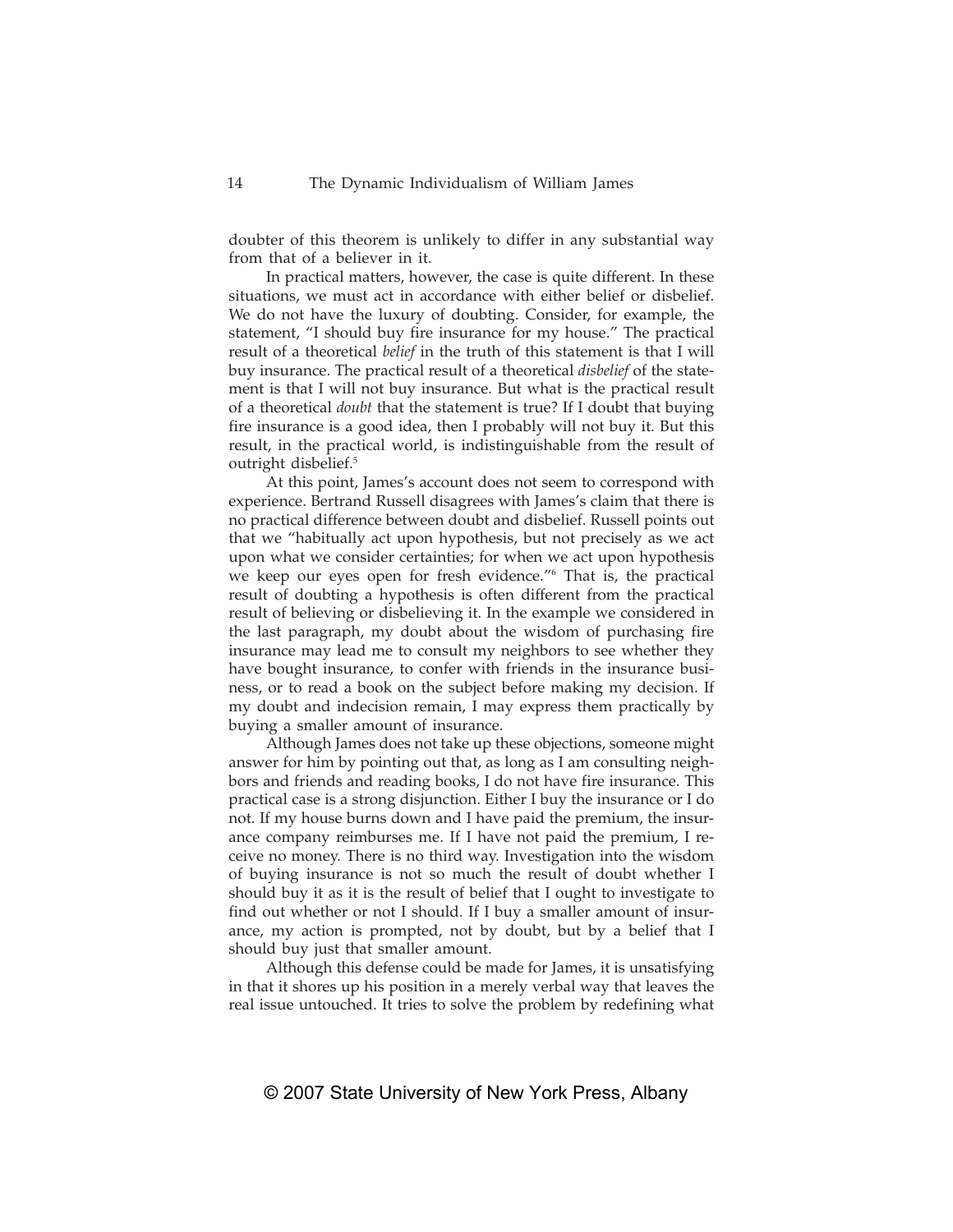doubter of this theorem is unlikely to differ in any substantial way from that of a believer in it.

In practical matters, however, the case is quite different. In these situations, we must act in accordance with either belief or disbelief. We do not have the luxury of doubting. Consider, for example, the statement, "I should buy fire insurance for my house." The practical result of a theoretical *belief* in the truth of this statement is that I will buy insurance. The practical result of a theoretical *disbelief* of the statement is that I will not buy insurance. But what is the practical result of a theoretical *doubt* that the statement is true? If I doubt that buying fire insurance is a good idea, then I probably will not buy it. But this result, in the practical world, is indistinguishable from the result of outright disbelief.<sup>5</sup>

At this point, James's account does not seem to correspond with experience. Bertrand Russell disagrees with James's claim that there is no practical difference between doubt and disbelief. Russell points out that we "habitually act upon hypothesis, but not precisely as we act upon what we consider certainties; for when we act upon hypothesis we keep our eyes open for fresh evidence."6 That is, the practical result of doubting a hypothesis is often different from the practical result of believing or disbelieving it. In the example we considered in the last paragraph, my doubt about the wisdom of purchasing fire insurance may lead me to consult my neighbors to see whether they have bought insurance, to confer with friends in the insurance business, or to read a book on the subject before making my decision. If my doubt and indecision remain, I may express them practically by buying a smaller amount of insurance.

Although James does not take up these objections, someone might answer for him by pointing out that, as long as I am consulting neighbors and friends and reading books, I do not have fire insurance. This practical case is a strong disjunction. Either I buy the insurance or I do not. If my house burns down and I have paid the premium, the insurance company reimburses me. If I have not paid the premium, I receive no money. There is no third way. Investigation into the wisdom of buying insurance is not so much the result of doubt whether I should buy it as it is the result of belief that I ought to investigate to find out whether or not I should. If I buy a smaller amount of insurance, my action is prompted, not by doubt, but by a belief that I should buy just that smaller amount.

Although this defense could be made for James, it is unsatisfying in that it shores up his position in a merely verbal way that leaves the real issue untouched. It tries to solve the problem by redefining what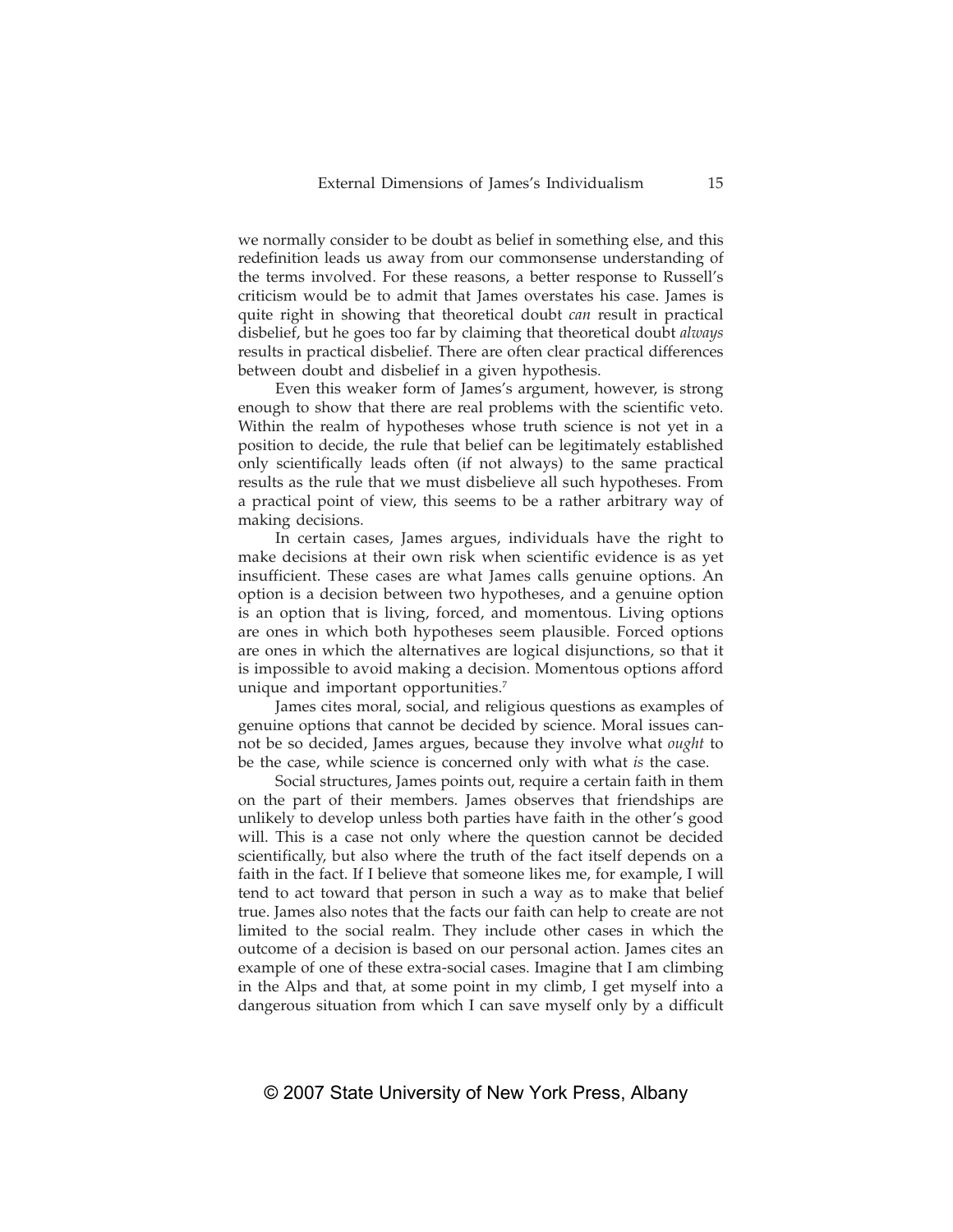we normally consider to be doubt as belief in something else, and this redefinition leads us away from our commonsense understanding of the terms involved. For these reasons, a better response to Russell's criticism would be to admit that James overstates his case. James is quite right in showing that theoretical doubt *can* result in practical disbelief, but he goes too far by claiming that theoretical doubt *always* results in practical disbelief. There are often clear practical differences between doubt and disbelief in a given hypothesis.

Even this weaker form of James's argument, however, is strong enough to show that there are real problems with the scientific veto. Within the realm of hypotheses whose truth science is not yet in a position to decide, the rule that belief can be legitimately established only scientifically leads often (if not always) to the same practical results as the rule that we must disbelieve all such hypotheses. From a practical point of view, this seems to be a rather arbitrary way of making decisions.

In certain cases, James argues, individuals have the right to make decisions at their own risk when scientific evidence is as yet insufficient. These cases are what James calls genuine options. An option is a decision between two hypotheses, and a genuine option is an option that is living, forced, and momentous. Living options are ones in which both hypotheses seem plausible. Forced options are ones in which the alternatives are logical disjunctions, so that it is impossible to avoid making a decision. Momentous options afford unique and important opportunities.<sup>7</sup>

James cites moral, social, and religious questions as examples of genuine options that cannot be decided by science. Moral issues cannot be so decided, James argues, because they involve what *ought* to be the case, while science is concerned only with what *is* the case.

Social structures, James points out, require a certain faith in them on the part of their members. James observes that friendships are unlikely to develop unless both parties have faith in the other's good will. This is a case not only where the question cannot be decided scientifically, but also where the truth of the fact itself depends on a faith in the fact. If I believe that someone likes me, for example, I will tend to act toward that person in such a way as to make that belief true. James also notes that the facts our faith can help to create are not limited to the social realm. They include other cases in which the outcome of a decision is based on our personal action. James cites an example of one of these extra-social cases. Imagine that I am climbing in the Alps and that, at some point in my climb, I get myself into a dangerous situation from which I can save myself only by a difficult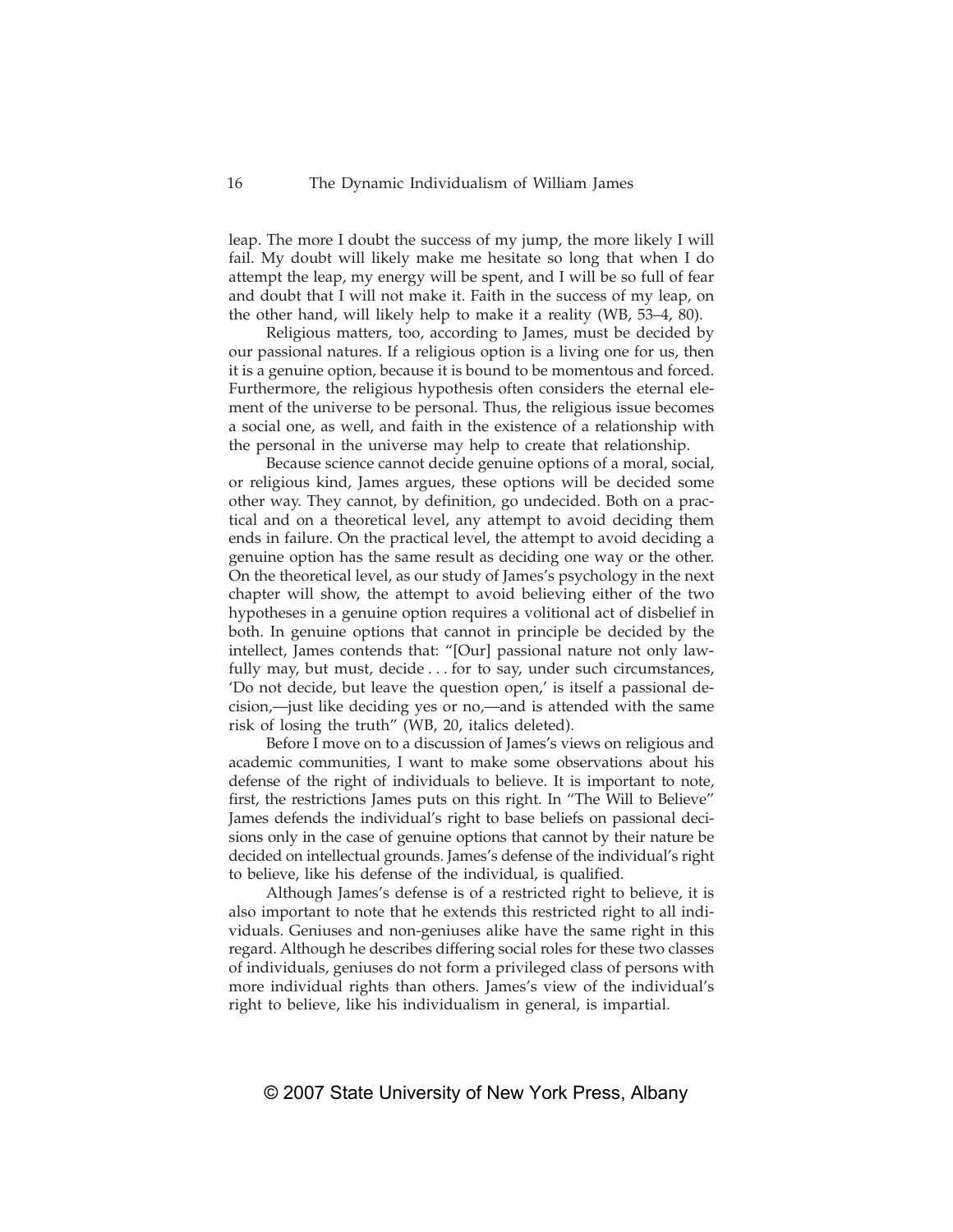leap. The more I doubt the success of my jump, the more likely I will fail. My doubt will likely make me hesitate so long that when I do attempt the leap, my energy will be spent, and I will be so full of fear and doubt that I will not make it. Faith in the success of my leap, on the other hand, will likely help to make it a reality (WB, 53–4, 80).

Religious matters, too, according to James, must be decided by our passional natures. If a religious option is a living one for us, then it is a genuine option, because it is bound to be momentous and forced. Furthermore, the religious hypothesis often considers the eternal element of the universe to be personal. Thus, the religious issue becomes a social one, as well, and faith in the existence of a relationship with the personal in the universe may help to create that relationship.

Because science cannot decide genuine options of a moral, social, or religious kind, James argues, these options will be decided some other way. They cannot, by definition, go undecided. Both on a practical and on a theoretical level, any attempt to avoid deciding them ends in failure. On the practical level, the attempt to avoid deciding a genuine option has the same result as deciding one way or the other. On the theoretical level, as our study of James's psychology in the next chapter will show, the attempt to avoid believing either of the two hypotheses in a genuine option requires a volitional act of disbelief in both. In genuine options that cannot in principle be decided by the intellect, James contends that: "[Our] passional nature not only lawfully may, but must, decide . . . for to say, under such circumstances, 'Do not decide, but leave the question open,' is itself a passional decision,—just like deciding yes or no,—and is attended with the same risk of losing the truth" (WB, 20, italics deleted).

Before I move on to a discussion of James's views on religious and academic communities, I want to make some observations about his defense of the right of individuals to believe. It is important to note, first, the restrictions James puts on this right. In "The Will to Believe" James defends the individual's right to base beliefs on passional decisions only in the case of genuine options that cannot by their nature be decided on intellectual grounds. James's defense of the individual's right to believe, like his defense of the individual, is qualified.

Although James's defense is of a restricted right to believe, it is also important to note that he extends this restricted right to all individuals. Geniuses and non-geniuses alike have the same right in this regard. Although he describes differing social roles for these two classes of individuals, geniuses do not form a privileged class of persons with more individual rights than others. James's view of the individual's right to believe, like his individualism in general, is impartial.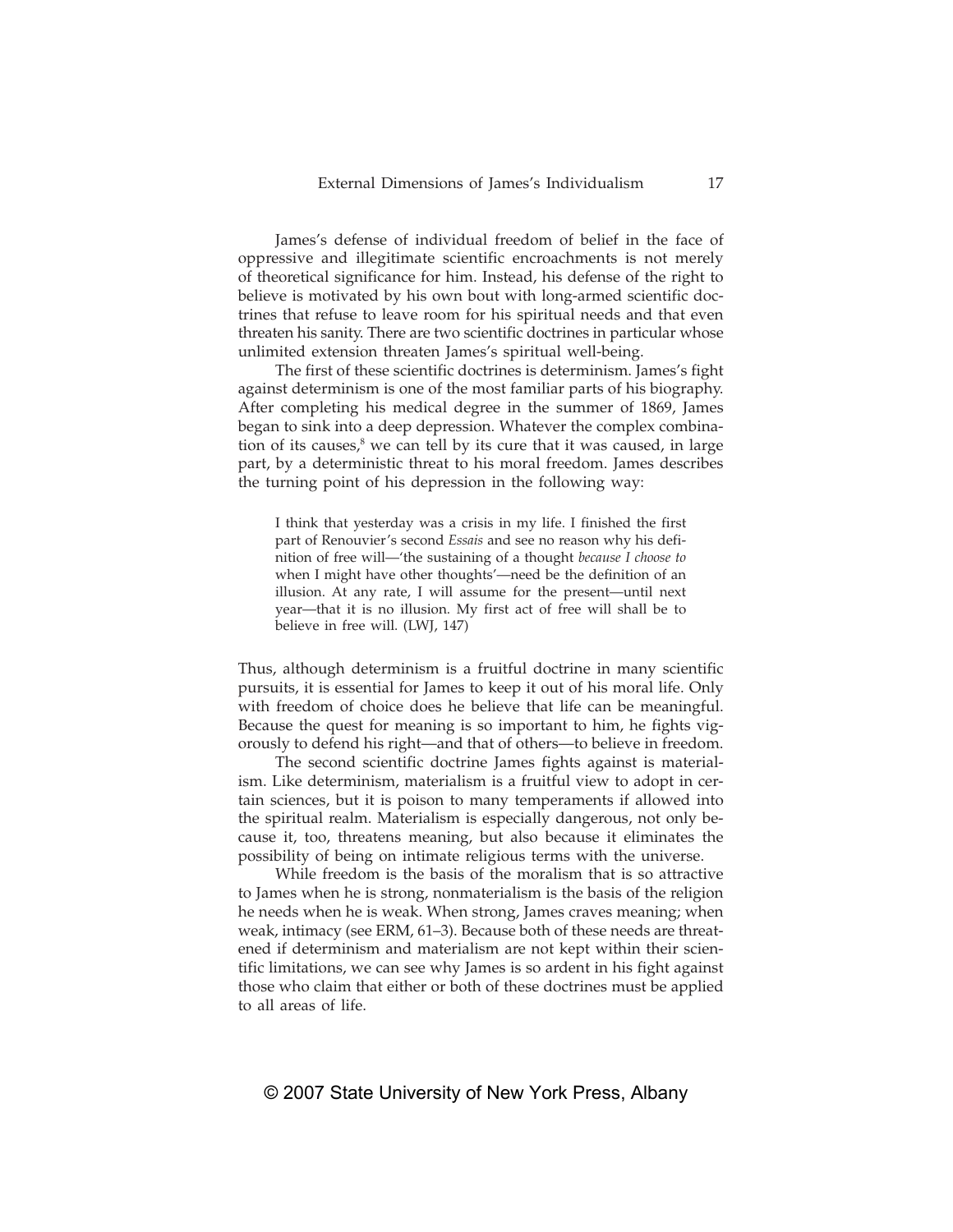James's defense of individual freedom of belief in the face of oppressive and illegitimate scientific encroachments is not merely of theoretical significance for him. Instead, his defense of the right to believe is motivated by his own bout with long-armed scientific doctrines that refuse to leave room for his spiritual needs and that even threaten his sanity. There are two scientific doctrines in particular whose unlimited extension threaten James's spiritual well-being.

The first of these scientific doctrines is determinism. James's fight against determinism is one of the most familiar parts of his biography. After completing his medical degree in the summer of 1869, James began to sink into a deep depression. Whatever the complex combination of its causes, $^8$  we can tell by its cure that it was caused, in large part, by a deterministic threat to his moral freedom. James describes the turning point of his depression in the following way:

I think that yesterday was a crisis in my life. I finished the first part of Renouvier's second *Essais* and see no reason why his definition of free will—'the sustaining of a thought *because I choose to* when I might have other thoughts'—need be the definition of an illusion. At any rate, I will assume for the present—until next year—that it is no illusion. My first act of free will shall be to believe in free will. (LWJ, 147)

Thus, although determinism is a fruitful doctrine in many scientific pursuits, it is essential for James to keep it out of his moral life. Only with freedom of choice does he believe that life can be meaningful. Because the quest for meaning is so important to him, he fights vigorously to defend his right—and that of others—to believe in freedom.

The second scientific doctrine James fights against is materialism. Like determinism, materialism is a fruitful view to adopt in certain sciences, but it is poison to many temperaments if allowed into the spiritual realm. Materialism is especially dangerous, not only because it, too, threatens meaning, but also because it eliminates the possibility of being on intimate religious terms with the universe.

While freedom is the basis of the moralism that is so attractive to James when he is strong, nonmaterialism is the basis of the religion he needs when he is weak. When strong, James craves meaning; when weak, intimacy (see ERM, 61–3). Because both of these needs are threatened if determinism and materialism are not kept within their scientific limitations, we can see why James is so ardent in his fight against those who claim that either or both of these doctrines must be applied to all areas of life.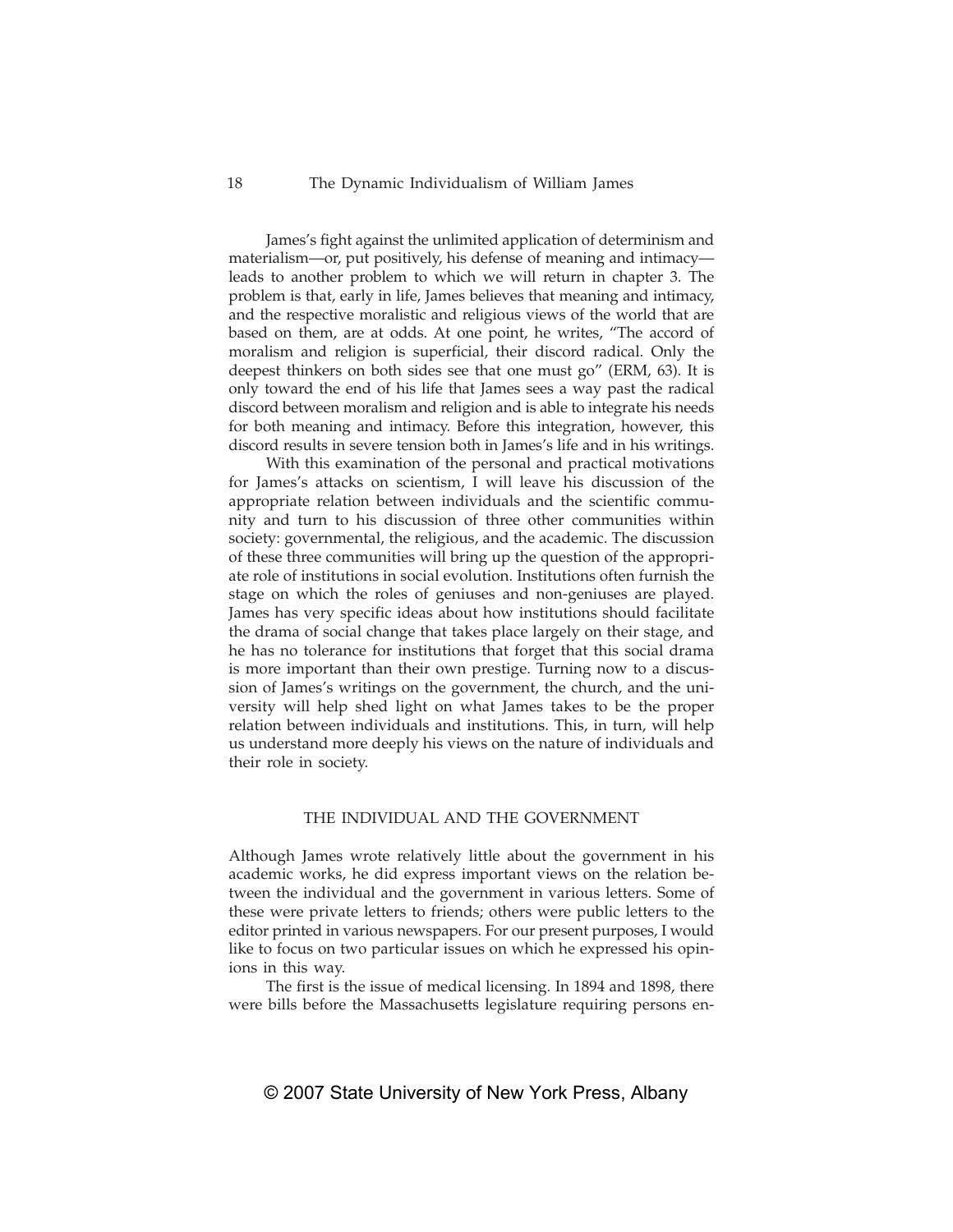James's fight against the unlimited application of determinism and materialism—or, put positively, his defense of meaning and intimacy leads to another problem to which we will return in chapter 3. The problem is that, early in life, James believes that meaning and intimacy, and the respective moralistic and religious views of the world that are based on them, are at odds. At one point, he writes, "The accord of moralism and religion is superficial, their discord radical. Only the deepest thinkers on both sides see that one must go" (ERM, 63). It is only toward the end of his life that James sees a way past the radical discord between moralism and religion and is able to integrate his needs for both meaning and intimacy. Before this integration, however, this discord results in severe tension both in James's life and in his writings.

With this examination of the personal and practical motivations for James's attacks on scientism, I will leave his discussion of the appropriate relation between individuals and the scientific community and turn to his discussion of three other communities within society: governmental, the religious, and the academic. The discussion of these three communities will bring up the question of the appropriate role of institutions in social evolution. Institutions often furnish the stage on which the roles of geniuses and non-geniuses are played. James has very specific ideas about how institutions should facilitate the drama of social change that takes place largely on their stage, and he has no tolerance for institutions that forget that this social drama is more important than their own prestige. Turning now to a discussion of James's writings on the government, the church, and the university will help shed light on what James takes to be the proper relation between individuals and institutions. This, in turn, will help us understand more deeply his views on the nature of individuals and their role in society.

### THE INDIVIDUAL AND THE GOVERNMENT

Although James wrote relatively little about the government in his academic works, he did express important views on the relation between the individual and the government in various letters. Some of these were private letters to friends; others were public letters to the editor printed in various newspapers. For our present purposes, I would like to focus on two particular issues on which he expressed his opinions in this way.

The first is the issue of medical licensing. In 1894 and 1898, there were bills before the Massachusetts legislature requiring persons en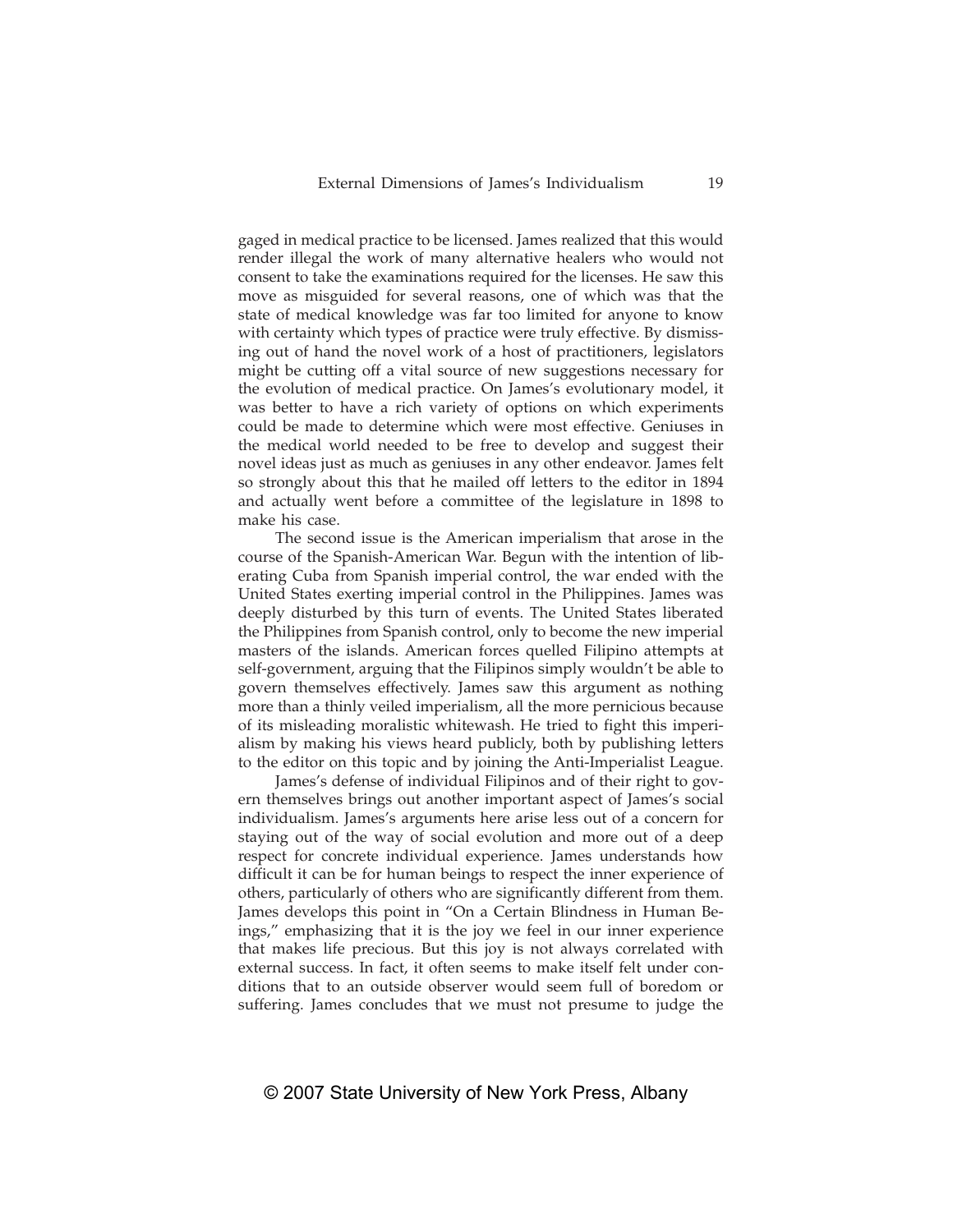gaged in medical practice to be licensed. James realized that this would render illegal the work of many alternative healers who would not consent to take the examinations required for the licenses. He saw this move as misguided for several reasons, one of which was that the state of medical knowledge was far too limited for anyone to know with certainty which types of practice were truly effective. By dismissing out of hand the novel work of a host of practitioners, legislators might be cutting off a vital source of new suggestions necessary for the evolution of medical practice. On James's evolutionary model, it was better to have a rich variety of options on which experiments could be made to determine which were most effective. Geniuses in the medical world needed to be free to develop and suggest their novel ideas just as much as geniuses in any other endeavor. James felt so strongly about this that he mailed off letters to the editor in 1894 and actually went before a committee of the legislature in 1898 to make his case.

The second issue is the American imperialism that arose in the course of the Spanish-American War. Begun with the intention of liberating Cuba from Spanish imperial control, the war ended with the United States exerting imperial control in the Philippines. James was deeply disturbed by this turn of events. The United States liberated the Philippines from Spanish control, only to become the new imperial masters of the islands. American forces quelled Filipino attempts at self-government, arguing that the Filipinos simply wouldn't be able to govern themselves effectively. James saw this argument as nothing more than a thinly veiled imperialism, all the more pernicious because of its misleading moralistic whitewash. He tried to fight this imperialism by making his views heard publicly, both by publishing letters to the editor on this topic and by joining the Anti-Imperialist League.

James's defense of individual Filipinos and of their right to govern themselves brings out another important aspect of James's social individualism. James's arguments here arise less out of a concern for staying out of the way of social evolution and more out of a deep respect for concrete individual experience. James understands how difficult it can be for human beings to respect the inner experience of others, particularly of others who are significantly different from them. James develops this point in "On a Certain Blindness in Human Beings," emphasizing that it is the joy we feel in our inner experience that makes life precious. But this joy is not always correlated with external success. In fact, it often seems to make itself felt under conditions that to an outside observer would seem full of boredom or suffering. James concludes that we must not presume to judge the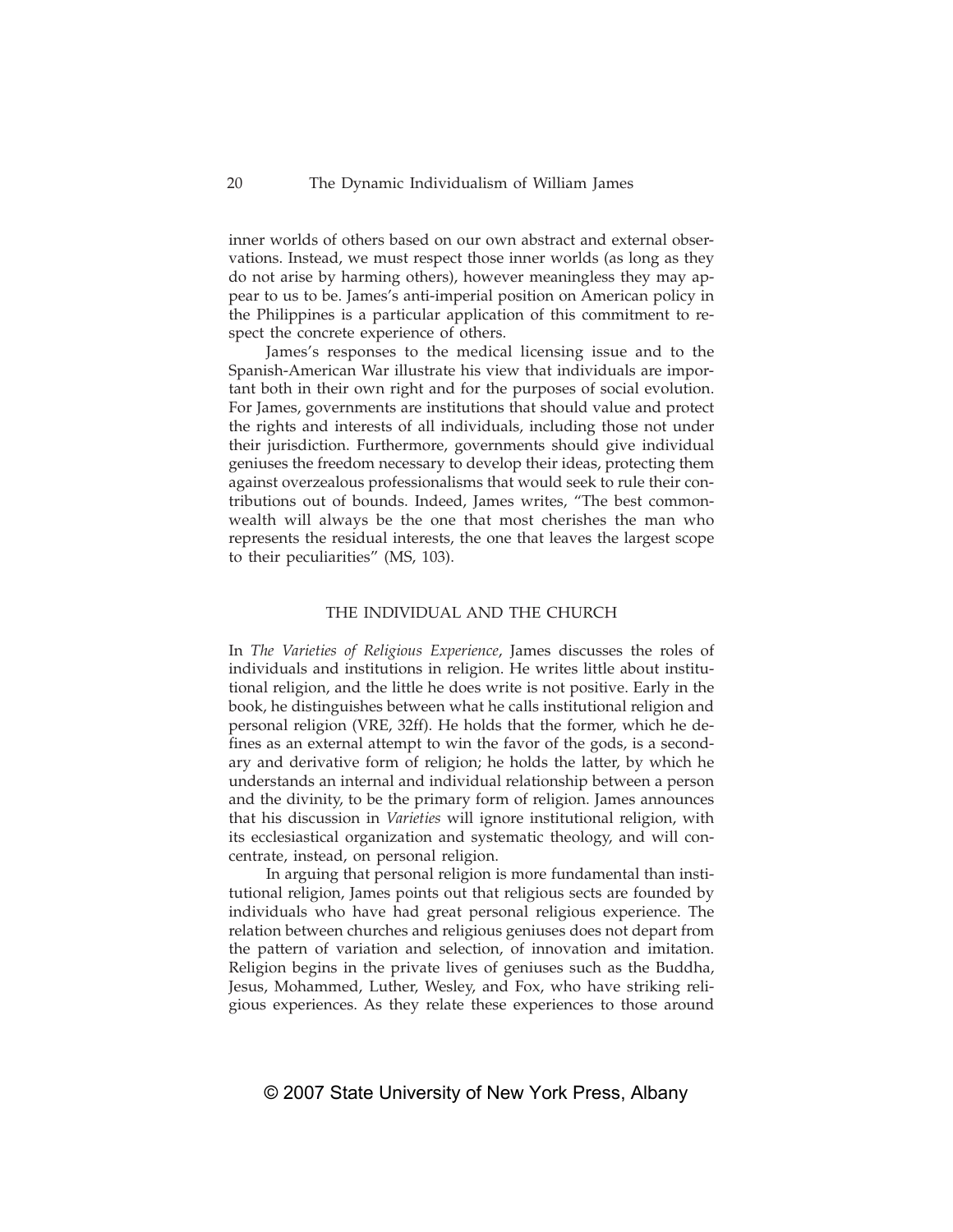inner worlds of others based on our own abstract and external observations. Instead, we must respect those inner worlds (as long as they do not arise by harming others), however meaningless they may appear to us to be. James's anti-imperial position on American policy in the Philippines is a particular application of this commitment to respect the concrete experience of others.

James's responses to the medical licensing issue and to the Spanish-American War illustrate his view that individuals are important both in their own right and for the purposes of social evolution. For James, governments are institutions that should value and protect the rights and interests of all individuals, including those not under their jurisdiction. Furthermore, governments should give individual geniuses the freedom necessary to develop their ideas, protecting them against overzealous professionalisms that would seek to rule their contributions out of bounds. Indeed, James writes, "The best commonwealth will always be the one that most cherishes the man who represents the residual interests, the one that leaves the largest scope to their peculiarities" (MS, 103).

#### THE INDIVIDUAL AND THE CHURCH

In *The Varieties of Religious Experience*, James discusses the roles of individuals and institutions in religion. He writes little about institutional religion, and the little he does write is not positive. Early in the book, he distinguishes between what he calls institutional religion and personal religion (VRE, 32ff). He holds that the former, which he defines as an external attempt to win the favor of the gods, is a secondary and derivative form of religion; he holds the latter, by which he understands an internal and individual relationship between a person and the divinity, to be the primary form of religion. James announces that his discussion in *Varieties* will ignore institutional religion, with its ecclesiastical organization and systematic theology, and will concentrate, instead, on personal religion.

In arguing that personal religion is more fundamental than institutional religion, James points out that religious sects are founded by individuals who have had great personal religious experience. The relation between churches and religious geniuses does not depart from the pattern of variation and selection, of innovation and imitation. Religion begins in the private lives of geniuses such as the Buddha, Jesus, Mohammed, Luther, Wesley, and Fox, who have striking religious experiences. As they relate these experiences to those around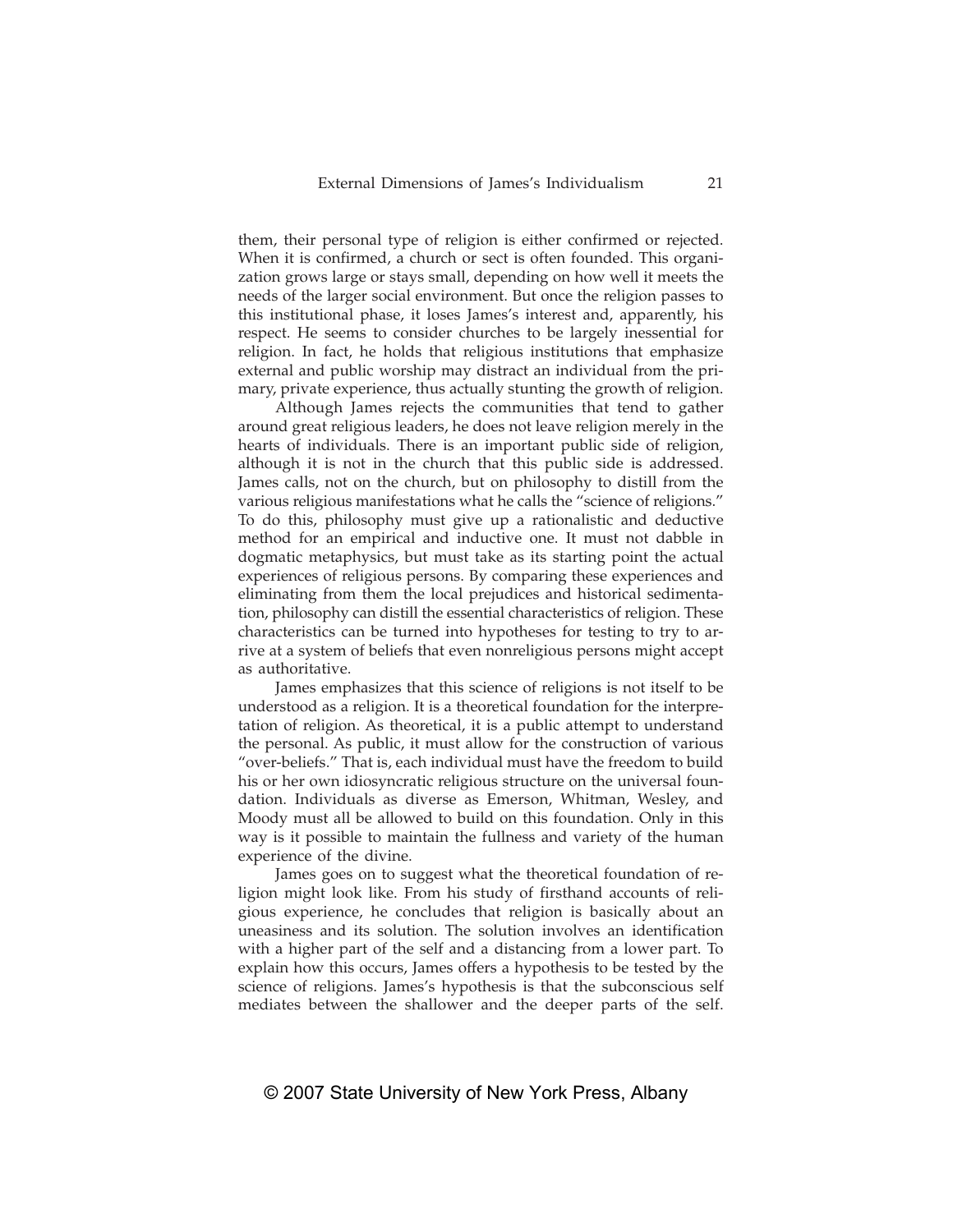them, their personal type of religion is either confirmed or rejected. When it is confirmed, a church or sect is often founded. This organization grows large or stays small, depending on how well it meets the needs of the larger social environment. But once the religion passes to this institutional phase, it loses James's interest and, apparently, his respect. He seems to consider churches to be largely inessential for religion. In fact, he holds that religious institutions that emphasize external and public worship may distract an individual from the primary, private experience, thus actually stunting the growth of religion.

Although James rejects the communities that tend to gather around great religious leaders, he does not leave religion merely in the hearts of individuals. There is an important public side of religion, although it is not in the church that this public side is addressed. James calls, not on the church, but on philosophy to distill from the various religious manifestations what he calls the "science of religions." To do this, philosophy must give up a rationalistic and deductive method for an empirical and inductive one. It must not dabble in dogmatic metaphysics, but must take as its starting point the actual experiences of religious persons. By comparing these experiences and eliminating from them the local prejudices and historical sedimentation, philosophy can distill the essential characteristics of religion. These characteristics can be turned into hypotheses for testing to try to arrive at a system of beliefs that even nonreligious persons might accept as authoritative.

James emphasizes that this science of religions is not itself to be understood as a religion. It is a theoretical foundation for the interpretation of religion. As theoretical, it is a public attempt to understand the personal. As public, it must allow for the construction of various "over-beliefs." That is, each individual must have the freedom to build his or her own idiosyncratic religious structure on the universal foundation. Individuals as diverse as Emerson, Whitman, Wesley, and Moody must all be allowed to build on this foundation. Only in this way is it possible to maintain the fullness and variety of the human experience of the divine.

James goes on to suggest what the theoretical foundation of religion might look like. From his study of firsthand accounts of religious experience, he concludes that religion is basically about an uneasiness and its solution. The solution involves an identification with a higher part of the self and a distancing from a lower part. To explain how this occurs, James offers a hypothesis to be tested by the science of religions. James's hypothesis is that the subconscious self mediates between the shallower and the deeper parts of the self.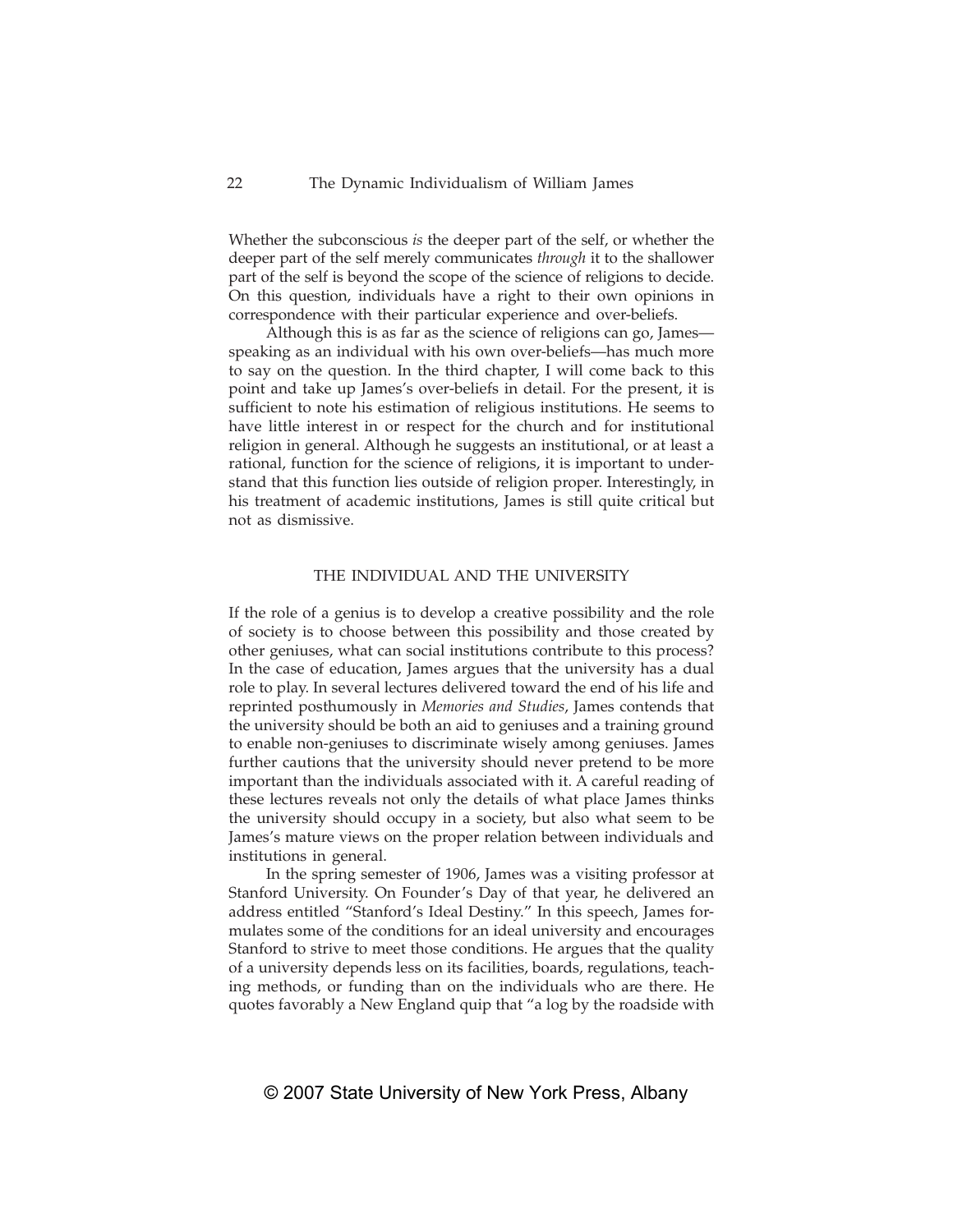Whether the subconscious *is* the deeper part of the self, or whether the deeper part of the self merely communicates *through* it to the shallower part of the self is beyond the scope of the science of religions to decide. On this question, individuals have a right to their own opinions in correspondence with their particular experience and over-beliefs.

Although this is as far as the science of religions can go, James speaking as an individual with his own over-beliefs—has much more to say on the question. In the third chapter, I will come back to this point and take up James's over-beliefs in detail. For the present, it is sufficient to note his estimation of religious institutions. He seems to have little interest in or respect for the church and for institutional religion in general. Although he suggests an institutional, or at least a rational, function for the science of religions, it is important to understand that this function lies outside of religion proper. Interestingly, in his treatment of academic institutions, James is still quite critical but not as dismissive.

#### THE INDIVIDUAL AND THE UNIVERSITY

If the role of a genius is to develop a creative possibility and the role of society is to choose between this possibility and those created by other geniuses, what can social institutions contribute to this process? In the case of education, James argues that the university has a dual role to play. In several lectures delivered toward the end of his life and reprinted posthumously in *Memories and Studies*, James contends that the university should be both an aid to geniuses and a training ground to enable non-geniuses to discriminate wisely among geniuses. James further cautions that the university should never pretend to be more important than the individuals associated with it. A careful reading of these lectures reveals not only the details of what place James thinks the university should occupy in a society, but also what seem to be James's mature views on the proper relation between individuals and institutions in general.

In the spring semester of 1906, James was a visiting professor at Stanford University. On Founder's Day of that year, he delivered an address entitled "Stanford's Ideal Destiny." In this speech, James formulates some of the conditions for an ideal university and encourages Stanford to strive to meet those conditions. He argues that the quality of a university depends less on its facilities, boards, regulations, teaching methods, or funding than on the individuals who are there. He quotes favorably a New England quip that "a log by the roadside with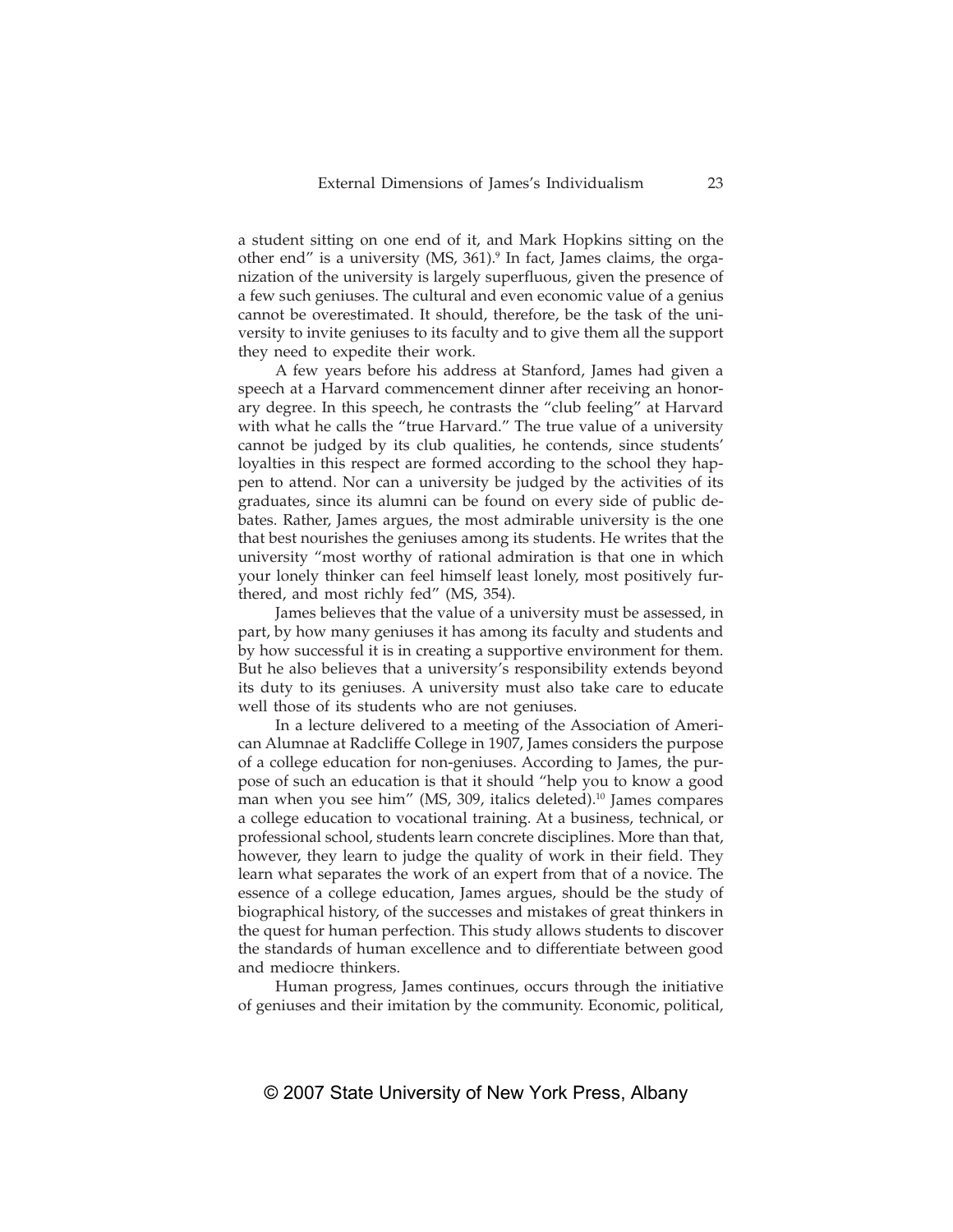a student sitting on one end of it, and Mark Hopkins sitting on the other end" is a university (MS, 361).<sup>9</sup> In fact, James claims, the organization of the university is largely superfluous, given the presence of a few such geniuses. The cultural and even economic value of a genius cannot be overestimated. It should, therefore, be the task of the university to invite geniuses to its faculty and to give them all the support they need to expedite their work.

A few years before his address at Stanford, James had given a speech at a Harvard commencement dinner after receiving an honorary degree. In this speech, he contrasts the "club feeling" at Harvard with what he calls the "true Harvard." The true value of a university cannot be judged by its club qualities, he contends, since students' loyalties in this respect are formed according to the school they happen to attend. Nor can a university be judged by the activities of its graduates, since its alumni can be found on every side of public debates. Rather, James argues, the most admirable university is the one that best nourishes the geniuses among its students. He writes that the university "most worthy of rational admiration is that one in which your lonely thinker can feel himself least lonely, most positively furthered, and most richly fed" (MS, 354).

James believes that the value of a university must be assessed, in part, by how many geniuses it has among its faculty and students and by how successful it is in creating a supportive environment for them. But he also believes that a university's responsibility extends beyond its duty to its geniuses. A university must also take care to educate well those of its students who are not geniuses.

In a lecture delivered to a meeting of the Association of American Alumnae at Radcliffe College in 1907, James considers the purpose of a college education for non-geniuses. According to James, the purpose of such an education is that it should "help you to know a good man when you see him" (MS, 309, italics deleted).10 James compares a college education to vocational training. At a business, technical, or professional school, students learn concrete disciplines. More than that, however, they learn to judge the quality of work in their field. They learn what separates the work of an expert from that of a novice. The essence of a college education, James argues, should be the study of biographical history, of the successes and mistakes of great thinkers in the quest for human perfection. This study allows students to discover the standards of human excellence and to differentiate between good and mediocre thinkers.

Human progress, James continues, occurs through the initiative of geniuses and their imitation by the community. Economic, political,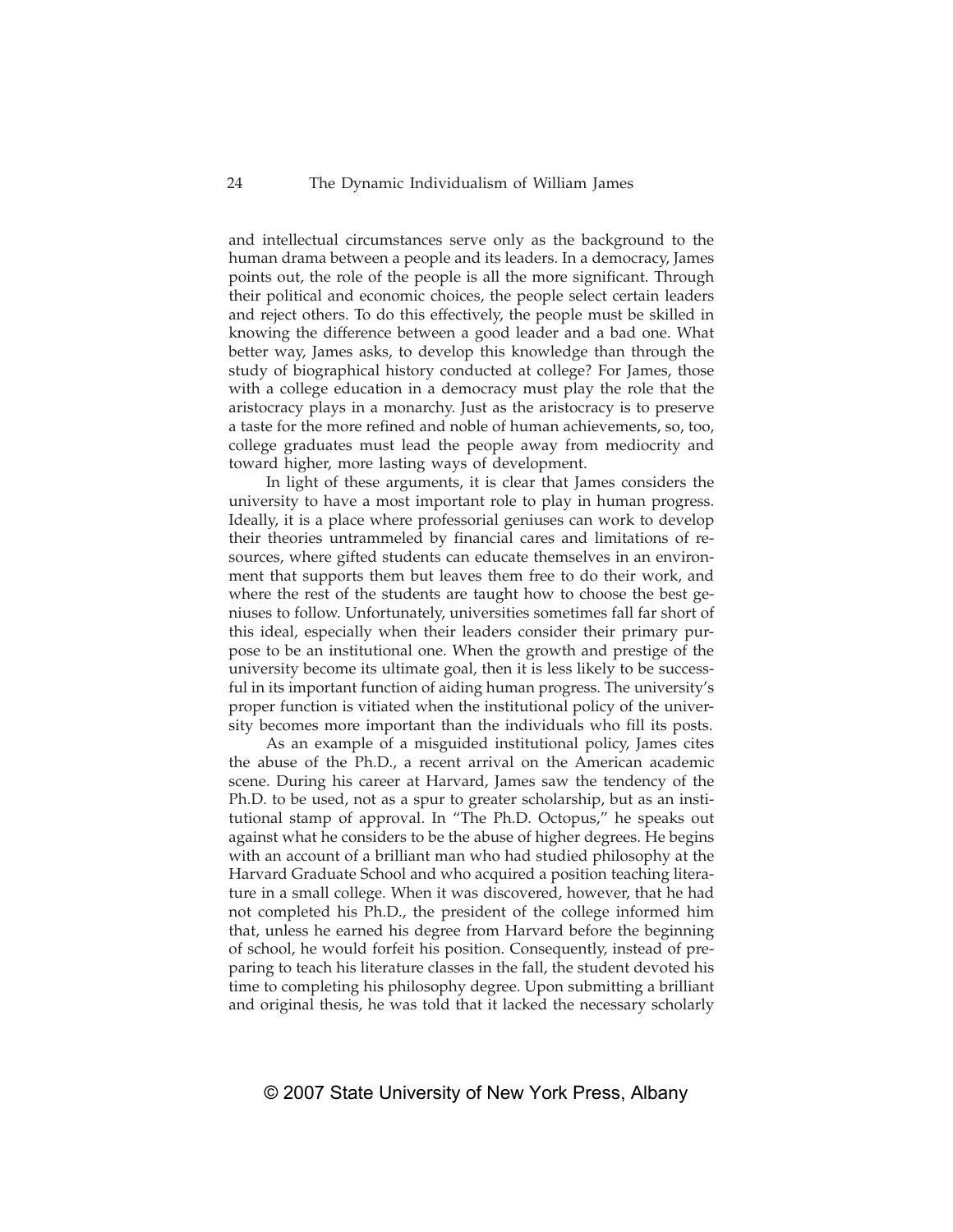and intellectual circumstances serve only as the background to the human drama between a people and its leaders. In a democracy, James points out, the role of the people is all the more significant. Through their political and economic choices, the people select certain leaders and reject others. To do this effectively, the people must be skilled in knowing the difference between a good leader and a bad one. What better way, James asks, to develop this knowledge than through the study of biographical history conducted at college? For James, those with a college education in a democracy must play the role that the aristocracy plays in a monarchy. Just as the aristocracy is to preserve a taste for the more refined and noble of human achievements, so, too, college graduates must lead the people away from mediocrity and toward higher, more lasting ways of development.

In light of these arguments, it is clear that James considers the university to have a most important role to play in human progress. Ideally, it is a place where professorial geniuses can work to develop their theories untrammeled by financial cares and limitations of resources, where gifted students can educate themselves in an environment that supports them but leaves them free to do their work, and where the rest of the students are taught how to choose the best geniuses to follow. Unfortunately, universities sometimes fall far short of this ideal, especially when their leaders consider their primary purpose to be an institutional one. When the growth and prestige of the university become its ultimate goal, then it is less likely to be successful in its important function of aiding human progress. The university's proper function is vitiated when the institutional policy of the university becomes more important than the individuals who fill its posts.

As an example of a misguided institutional policy, James cites the abuse of the Ph.D., a recent arrival on the American academic scene. During his career at Harvard, James saw the tendency of the Ph.D. to be used, not as a spur to greater scholarship, but as an institutional stamp of approval. In "The Ph.D. Octopus," he speaks out against what he considers to be the abuse of higher degrees. He begins with an account of a brilliant man who had studied philosophy at the Harvard Graduate School and who acquired a position teaching literature in a small college. When it was discovered, however, that he had not completed his Ph.D., the president of the college informed him that, unless he earned his degree from Harvard before the beginning of school, he would forfeit his position. Consequently, instead of preparing to teach his literature classes in the fall, the student devoted his time to completing his philosophy degree. Upon submitting a brilliant and original thesis, he was told that it lacked the necessary scholarly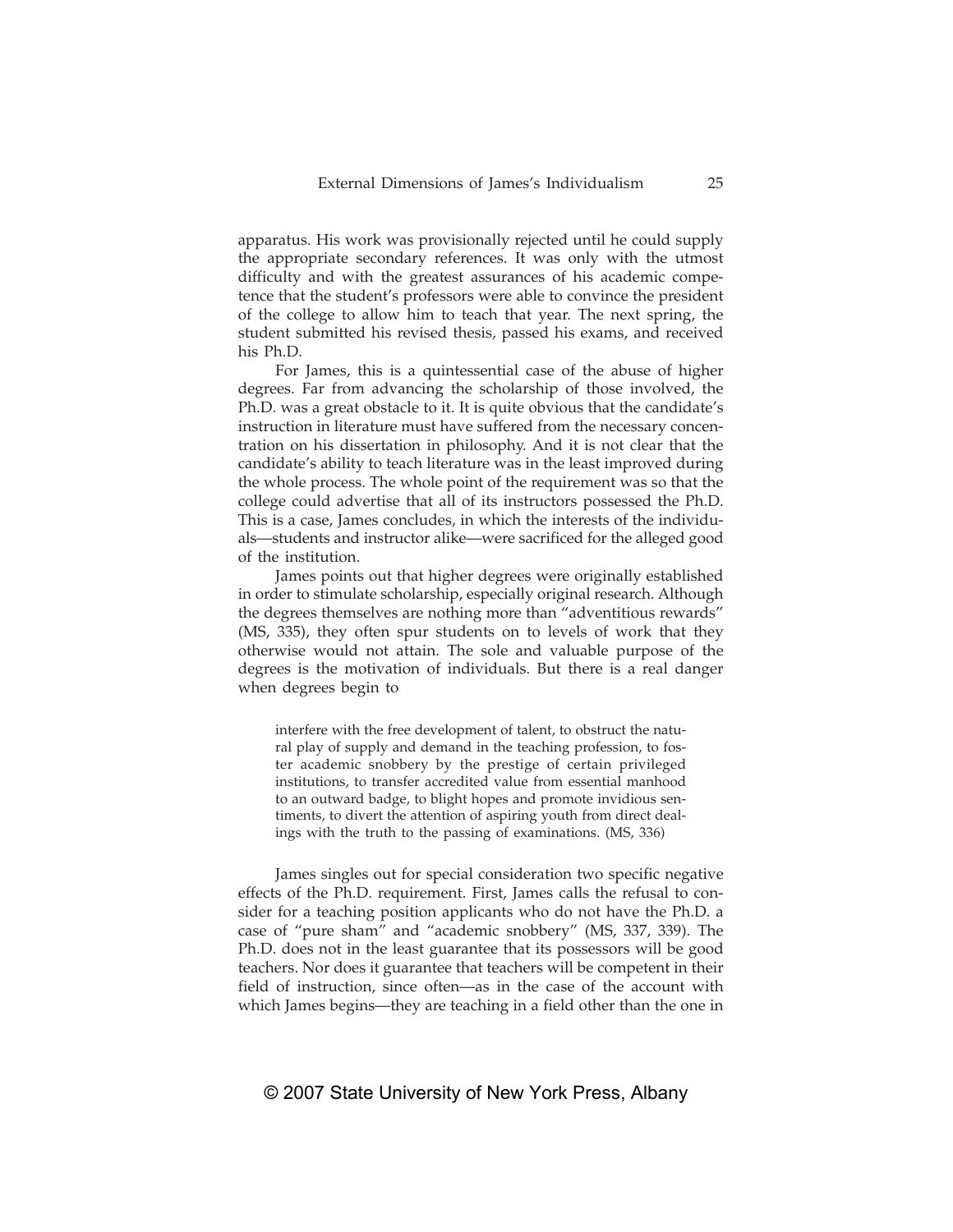apparatus. His work was provisionally rejected until he could supply the appropriate secondary references. It was only with the utmost difficulty and with the greatest assurances of his academic competence that the student's professors were able to convince the president of the college to allow him to teach that year. The next spring, the student submitted his revised thesis, passed his exams, and received his Ph.D.

For James, this is a quintessential case of the abuse of higher degrees. Far from advancing the scholarship of those involved, the Ph.D. was a great obstacle to it. It is quite obvious that the candidate's instruction in literature must have suffered from the necessary concentration on his dissertation in philosophy. And it is not clear that the candidate's ability to teach literature was in the least improved during the whole process. The whole point of the requirement was so that the college could advertise that all of its instructors possessed the Ph.D. This is a case, James concludes, in which the interests of the individuals—students and instructor alike—were sacrificed for the alleged good of the institution.

James points out that higher degrees were originally established in order to stimulate scholarship, especially original research. Although the degrees themselves are nothing more than "adventitious rewards" (MS, 335), they often spur students on to levels of work that they otherwise would not attain. The sole and valuable purpose of the degrees is the motivation of individuals. But there is a real danger when degrees begin to

interfere with the free development of talent, to obstruct the natural play of supply and demand in the teaching profession, to foster academic snobbery by the prestige of certain privileged institutions, to transfer accredited value from essential manhood to an outward badge, to blight hopes and promote invidious sentiments, to divert the attention of aspiring youth from direct dealings with the truth to the passing of examinations. (MS, 336)

James singles out for special consideration two specific negative effects of the Ph.D. requirement. First, James calls the refusal to consider for a teaching position applicants who do not have the Ph.D. a case of "pure sham" and "academic snobbery" (MS, 337, 339). The Ph.D. does not in the least guarantee that its possessors will be good teachers. Nor does it guarantee that teachers will be competent in their field of instruction, since often—as in the case of the account with which James begins—they are teaching in a field other than the one in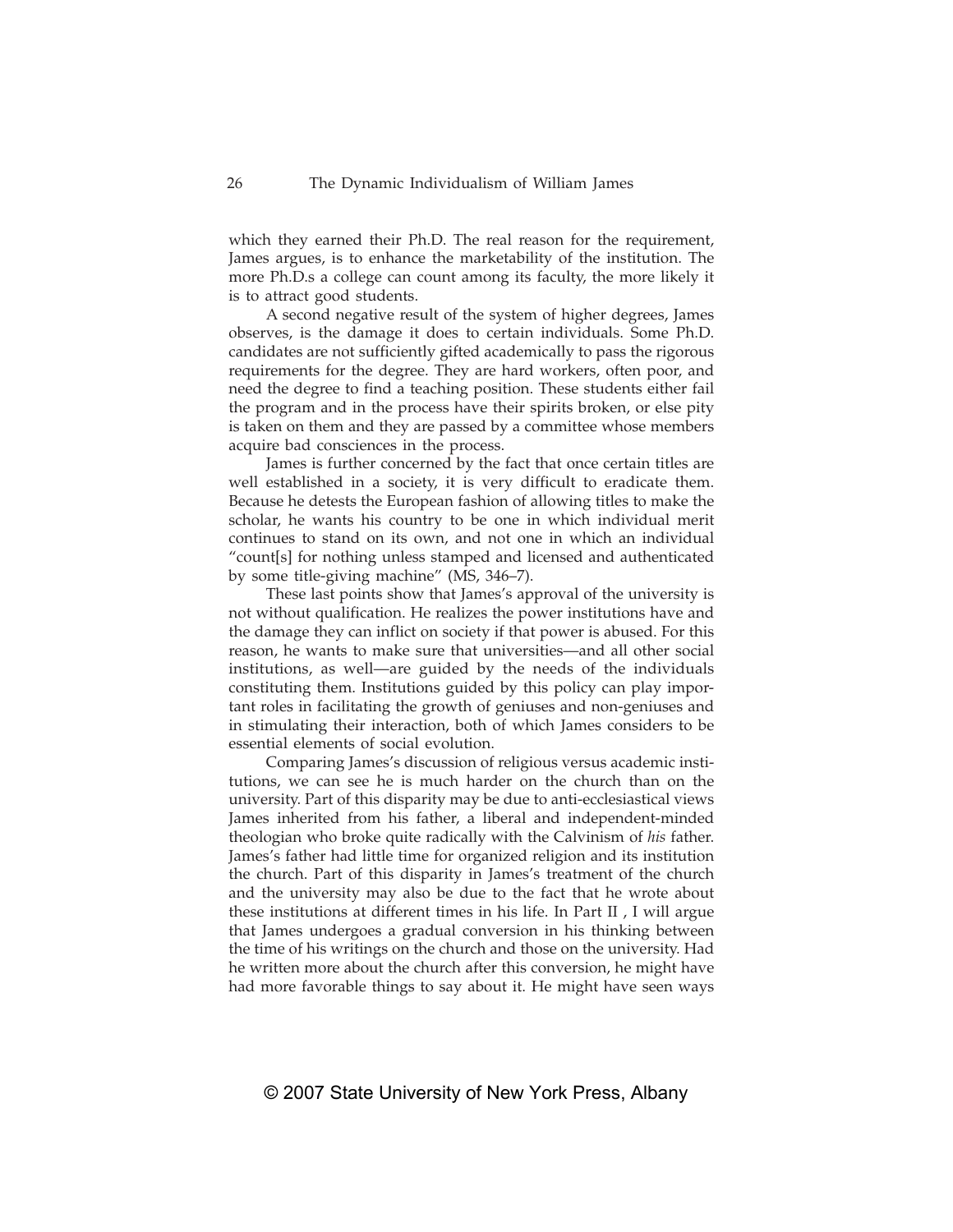which they earned their Ph.D. The real reason for the requirement, James argues, is to enhance the marketability of the institution. The more Ph.D.s a college can count among its faculty, the more likely it is to attract good students.

A second negative result of the system of higher degrees, James observes, is the damage it does to certain individuals. Some Ph.D. candidates are not sufficiently gifted academically to pass the rigorous requirements for the degree. They are hard workers, often poor, and need the degree to find a teaching position. These students either fail the program and in the process have their spirits broken, or else pity is taken on them and they are passed by a committee whose members acquire bad consciences in the process.

James is further concerned by the fact that once certain titles are well established in a society, it is very difficult to eradicate them. Because he detests the European fashion of allowing titles to make the scholar, he wants his country to be one in which individual merit continues to stand on its own, and not one in which an individual "count[s] for nothing unless stamped and licensed and authenticated by some title-giving machine" (MS, 346–7).

These last points show that James's approval of the university is not without qualification. He realizes the power institutions have and the damage they can inflict on society if that power is abused. For this reason, he wants to make sure that universities—and all other social institutions, as well—are guided by the needs of the individuals constituting them. Institutions guided by this policy can play important roles in facilitating the growth of geniuses and non-geniuses and in stimulating their interaction, both of which James considers to be essential elements of social evolution.

Comparing James's discussion of religious versus academic institutions, we can see he is much harder on the church than on the university. Part of this disparity may be due to anti-ecclesiastical views James inherited from his father, a liberal and independent-minded theologian who broke quite radically with the Calvinism of *his* father. James's father had little time for organized religion and its institution the church. Part of this disparity in James's treatment of the church and the university may also be due to the fact that he wrote about these institutions at different times in his life. In Part II , I will argue that James undergoes a gradual conversion in his thinking between the time of his writings on the church and those on the university. Had he written more about the church after this conversion, he might have had more favorable things to say about it. He might have seen ways